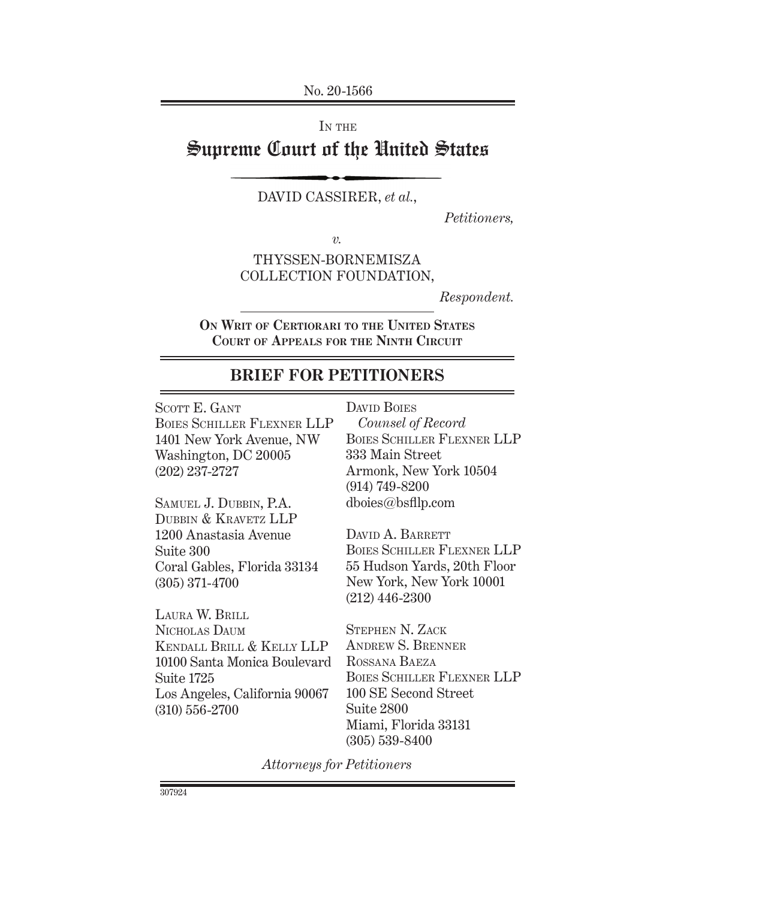No. 20-1566

IN THE

# Supreme Court of the United States

### DAVID CASSIRER, *et al.*,

*Petitioners,*

*v.*

# THYSSEN-BORNEMISZA COLLECTION FOUNDATION,

*Respondent.*

**On Writ of Certiorari to the United States Court of Appeals for the Ninth Circuit**

# **BRIEF FOR PETITIONERS**

SCOTT E. GANT Boies Schiller Flexner Llp 1401 New York Avenue, NW Washington, DC 20005 (202) 237-2727

Samuel J. Dubbin, P.A. DUBBIN & KRAVETZ LLP 1200 Anastasia Avenue Suite 300 Coral Gables, Florida 33134 (305) 371-4700

Laura W. Brill Nicholas Daum Kendall Brill & Kelly Llp 10100 Santa Monica Boulevard Suite 1725 Los Angeles, California 90067 (310) 556-2700

DAVID BOIES

*Counsel of Record* Boies Schiller Flexner LLP 333 Main Street Armonk, New York 10504 (914) 749-8200 dboies@bsfllp.com

DAVID A. BARRETT Boies Schiller Flexner LLP 55 Hudson Yards, 20th Floor New York, New York 10001 (212) 446-2300

Stephen N. Zack Andrew S. Brenner Rossana Baeza Boies Schiller Flexner Llp 100 SE Second Street Suite 2800 Miami, Florida 33131 (305) 539-8400

*Attorneys for Petitioners*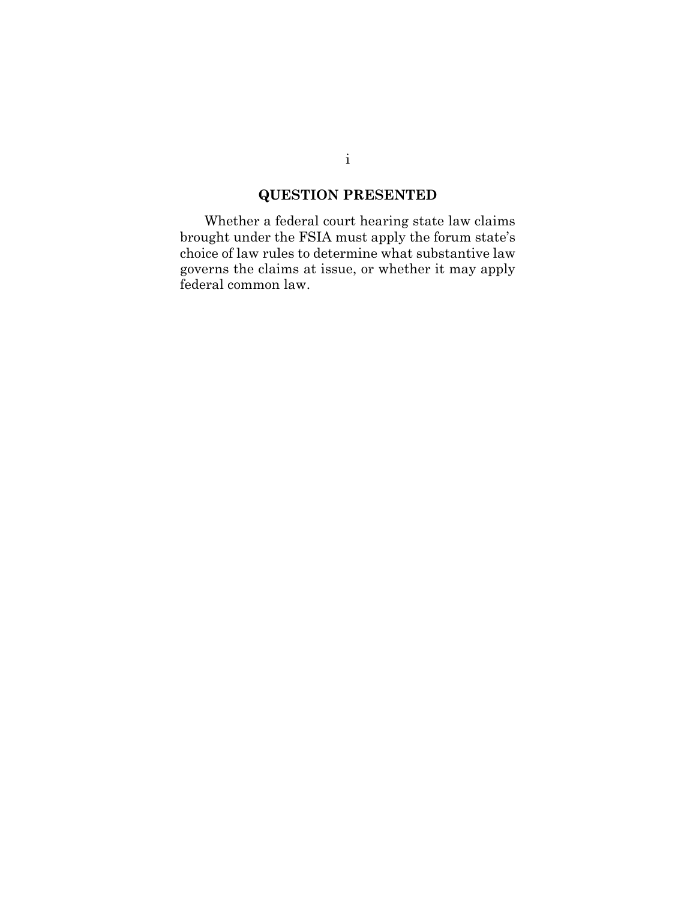# **QUESTION PRESENTED**

Whether a federal court hearing state law claims brought under the FSIA must apply the forum state's choice of law rules to determine what substantive law governs the claims at issue, or whether it may apply federal common law.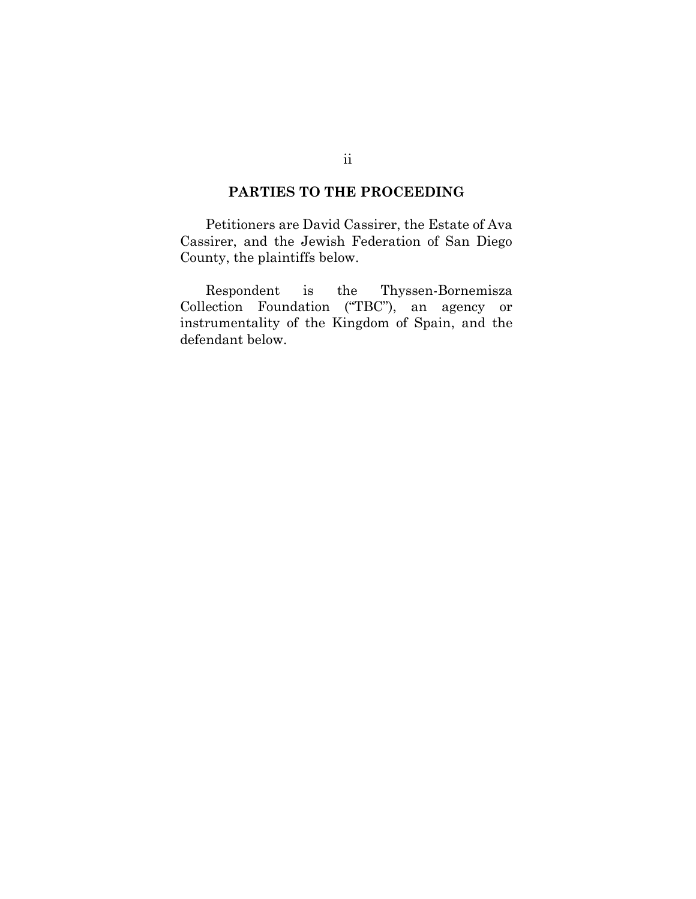# **PARTIES TO THE PROCEEDING**

Petitioners are David Cassirer, the Estate of Ava Cassirer, and the Jewish Federation of San Diego County, the plaintiffs below.

Respondent is the Thyssen-Bornemisza Collection Foundation ("TBC"), an agency or instrumentality of the Kingdom of Spain, and the defendant below.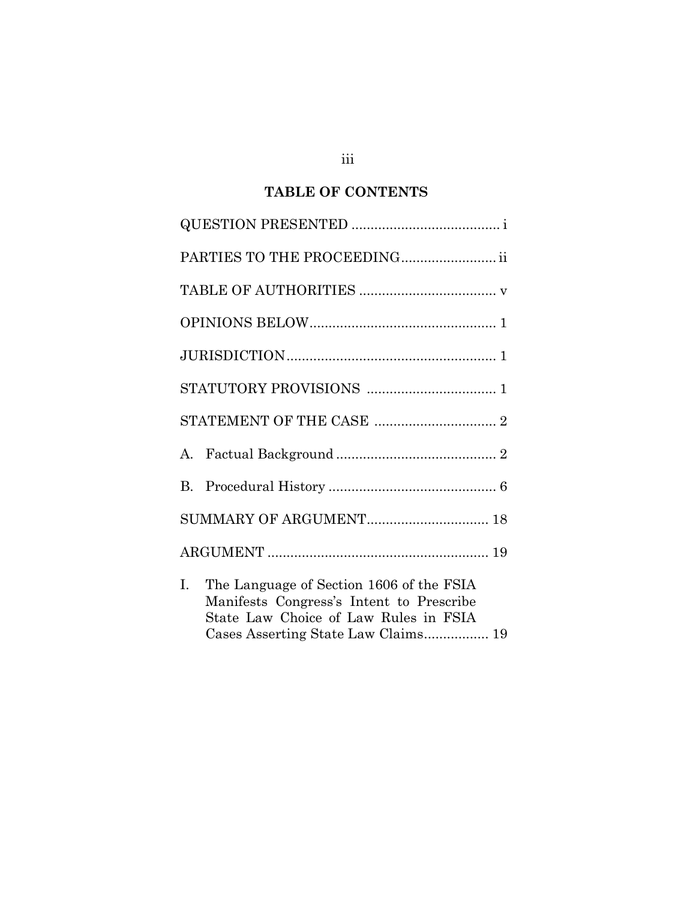# **TABLE OF CONTENTS**

| PARTIES TO THE PROCEEDING ii                                                                                                                                               |
|----------------------------------------------------------------------------------------------------------------------------------------------------------------------------|
|                                                                                                                                                                            |
|                                                                                                                                                                            |
|                                                                                                                                                                            |
|                                                                                                                                                                            |
|                                                                                                                                                                            |
|                                                                                                                                                                            |
|                                                                                                                                                                            |
|                                                                                                                                                                            |
|                                                                                                                                                                            |
| The Language of Section 1606 of the FSIA<br>Ι.<br>Manifests Congress's Intent to Prescribe<br>State Law Choice of Law Rules in FSIA<br>Cases Asserting State Law Claims 19 |

iii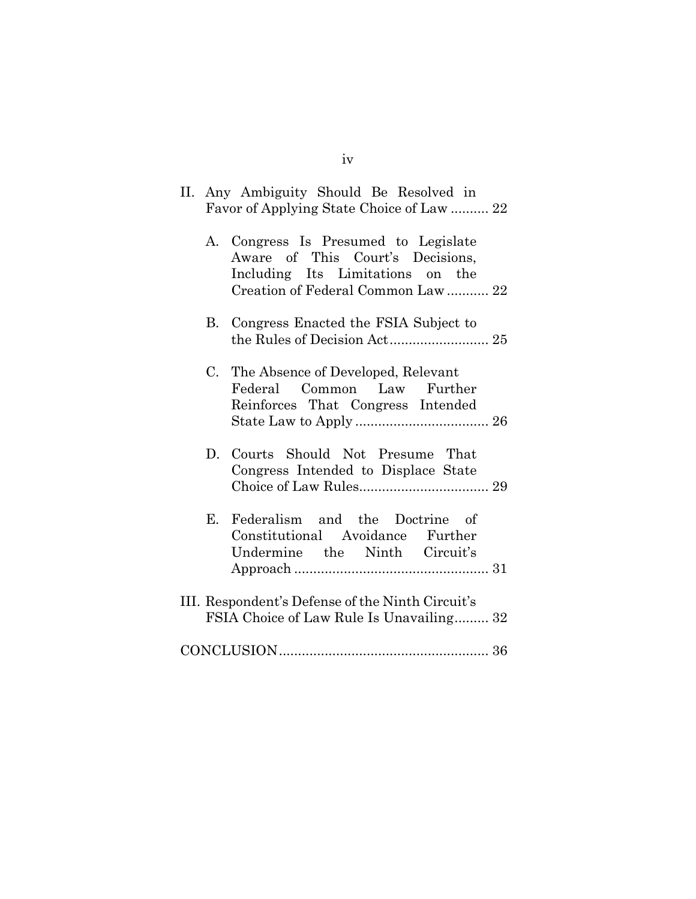|    | II. Any Ambiguity Should Be Resolved in<br>Favor of Applying State Choice of Law  22                                                               |
|----|----------------------------------------------------------------------------------------------------------------------------------------------------|
|    | A. Congress Is Presumed to Legislate<br>Aware of This Court's Decisions,<br>Including Its Limitations on the<br>Creation of Federal Common Law  22 |
|    | B. Congress Enacted the FSIA Subject to                                                                                                            |
|    | C. The Absence of Developed, Relevant<br>Federal Common Law Further<br>Reinforces That Congress Intended                                           |
|    | D. Courts Should Not Presume That<br>Congress Intended to Displace State                                                                           |
| Е. | Federalism and the Doctrine of<br>Constitutional Avoidance Further<br>Undermine the Ninth Circuit's                                                |
|    | III. Respondent's Defense of the Ninth Circuit's<br>FSIA Choice of Law Rule Is Unavailing 32                                                       |
|    |                                                                                                                                                    |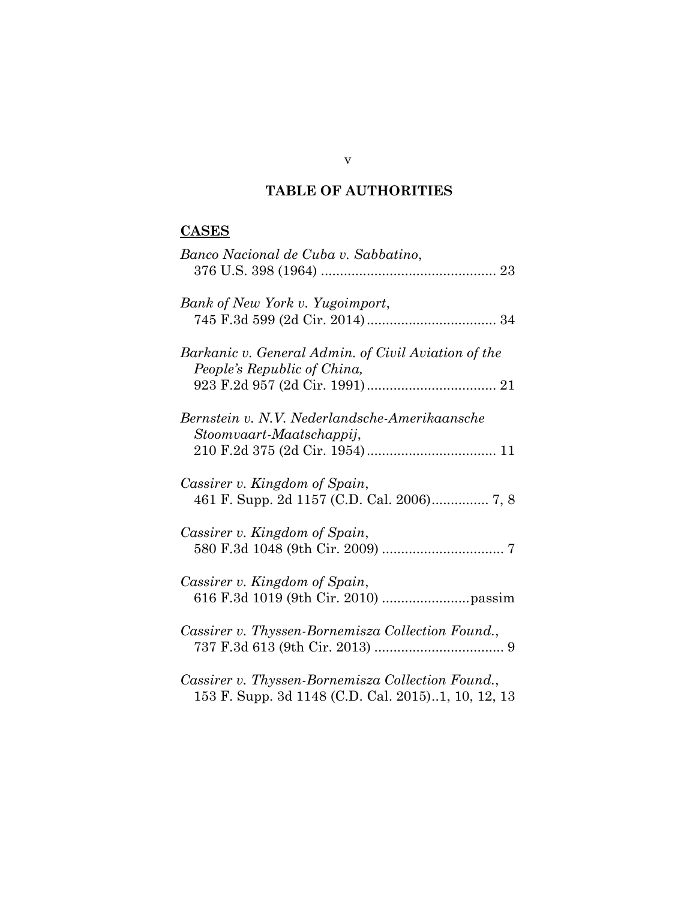# **TABLE OF AUTHORITIES**

# **CASES**

| Banco Nacional de Cuba v. Sabbatino,                                                                    |
|---------------------------------------------------------------------------------------------------------|
| Bank of New York v. Yugoimport,                                                                         |
| Barkanic v. General Admin. of Civil Aviation of the<br>People's Republic of China,                      |
| Bernstein v. N.V. Nederlandsche-Amerikaansche<br>Stoomvaart-Maatschappij,                               |
| Cassirer v. Kingdom of Spain,                                                                           |
| Cassirer v. Kingdom of Spain,                                                                           |
| Cassirer v. Kingdom of Spain,                                                                           |
| Cassirer v. Thyssen-Bornemisza Collection Found.,                                                       |
| Cassirer v. Thyssen-Bornemisza Collection Found.,<br>153 F. Supp. 3d 1148 (C.D. Cal. 2015)1, 10, 12, 13 |

v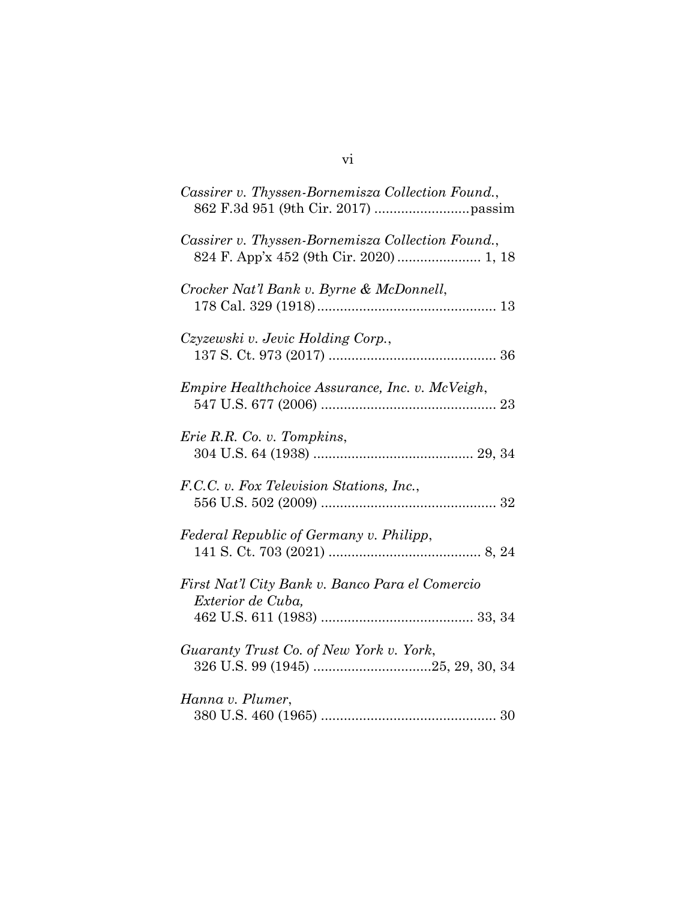| Cassirer v. Thyssen-Bornemisza Collection Found.,                    |
|----------------------------------------------------------------------|
| Cassirer v. Thyssen-Bornemisza Collection Found.,                    |
| Crocker Nat'l Bank v. Byrne & McDonnell,                             |
| Czyzewski v. Jevic Holding Corp.,                                    |
| Empire Healthchoice Assurance, Inc. v. McVeigh,                      |
| Erie R.R. Co. v. Tompkins,                                           |
| F.C.C. v. Fox Television Stations, Inc.,                             |
| Federal Republic of Germany v. Philipp,                              |
| First Nat'l City Bank v. Banco Para el Comercio<br>Exterior de Cuba, |
| Guaranty Trust Co. of New York v. York,                              |
| Hanna v. Plumer,                                                     |

vi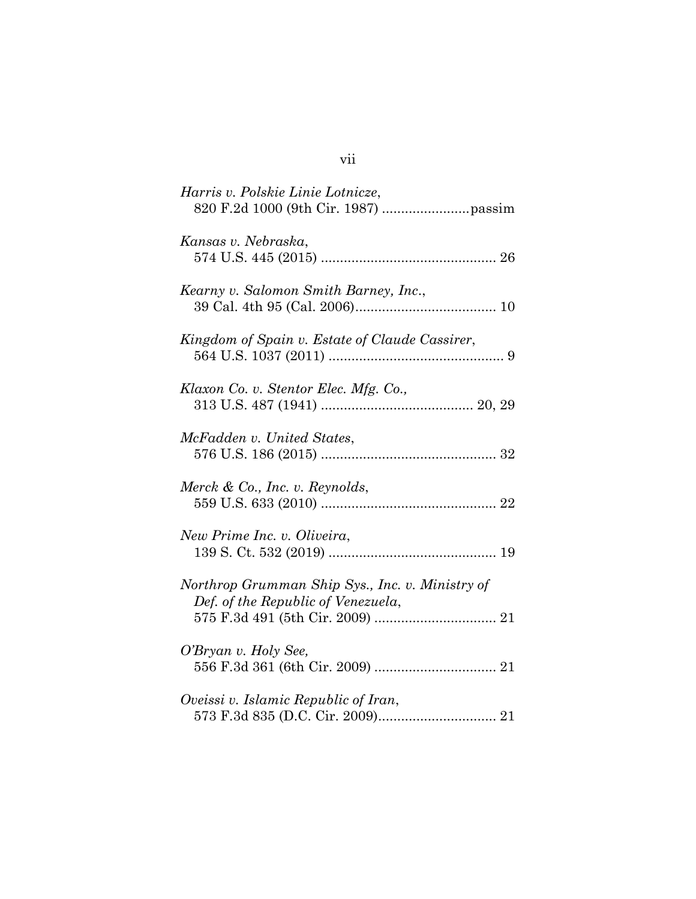| Harris v. Polskie Linie Lotnicze,                                                     |
|---------------------------------------------------------------------------------------|
| Kansas v. Nebraska,                                                                   |
| Kearny v. Salomon Smith Barney, Inc.,                                                 |
| Kingdom of Spain v. Estate of Claude Cassirer,                                        |
| Klaxon Co. v. Stentor Elec. Mfg. Co.,                                                 |
| McFadden v. United States,                                                            |
| Merck & Co., Inc. v. Reynolds,                                                        |
| New Prime Inc. v. Oliveira,                                                           |
| Northrop Grumman Ship Sys., Inc. v. Ministry of<br>Def. of the Republic of Venezuela, |
| O'Bryan v. Holy See,                                                                  |
| Oveissi v. Islamic Republic of Iran,                                                  |

# vii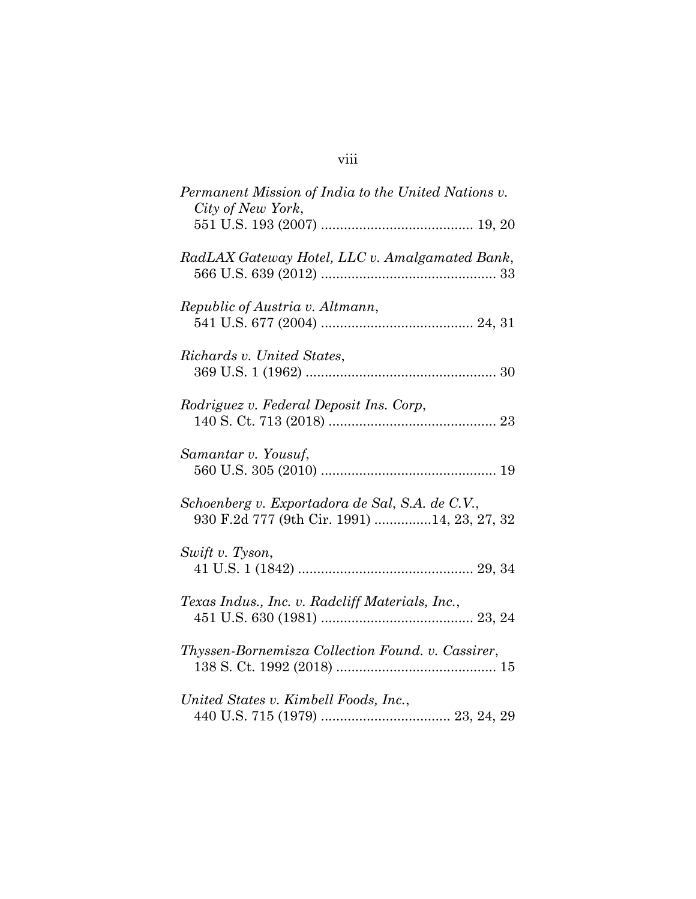| Permanent Mission of India to the United Nations v.<br>City of New York,                       |  |
|------------------------------------------------------------------------------------------------|--|
|                                                                                                |  |
| RadLAX Gateway Hotel, LLC v. Amalgamated Bank,                                                 |  |
| Republic of Austria v. Altmann,                                                                |  |
| Richards v. United States,                                                                     |  |
| Rodriguez v. Federal Deposit Ins. Corp,                                                        |  |
| Samantar v. Yousuf,                                                                            |  |
| Schoenberg v. Exportadora de Sal, S.A. de C.V.,<br>930 F.2d 777 (9th Cir. 1991) 14, 23, 27, 32 |  |
| Swift v. Tyson,                                                                                |  |
| Texas Indus., Inc. v. Radcliff Materials, Inc.,                                                |  |
| Thyssen-Bornemisza Collection Found. v. Cassirer,                                              |  |
| United States v. Kimbell Foods, Inc.,                                                          |  |

440 U.S. 715 (1979) .................................. 23, 24, 29

# viii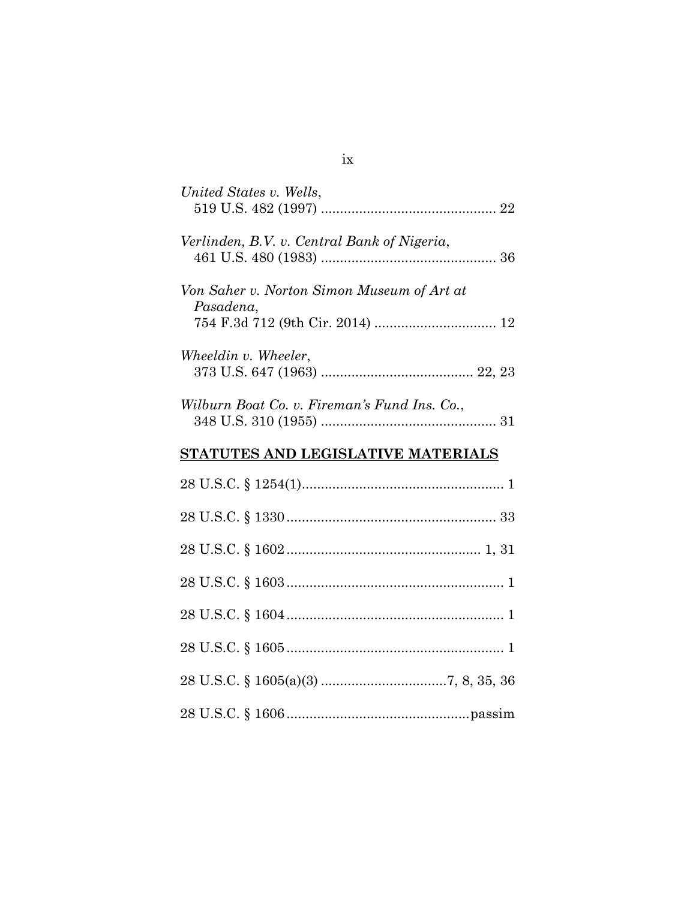| United States v. Wells,                                 |
|---------------------------------------------------------|
| Verlinden, B.V. v. Central Bank of Nigeria,             |
| Von Saher v. Norton Simon Museum of Art at<br>Pasadena, |
| Wheeldin v. Wheeler,                                    |
| Wilburn Boat Co. v. Fireman's Fund Ins. Co.,            |
| STATUTES AND LEGISLATIVE MATERIALS                      |
|                                                         |
|                                                         |
|                                                         |
|                                                         |
|                                                         |
|                                                         |
|                                                         |
|                                                         |

# ix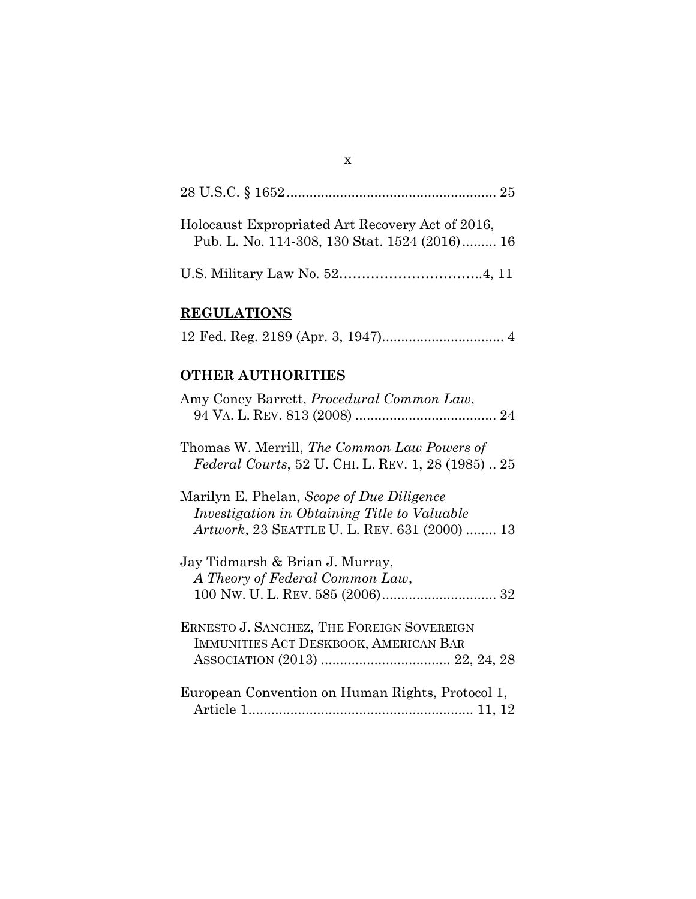| Holocaust Expropriated Art Recovery Act of 2016,<br>Pub. L. No. 114-308, 130 Stat. 1524 (2016) 16 |  |
|---------------------------------------------------------------------------------------------------|--|
|                                                                                                   |  |

x

# **REGULATIONS**

|--|--|--|--|

# **OTHER AUTHORITIES**

| Amy Coney Barrett, <i>Procedural Common Law</i> ,                                                                                                         |
|-----------------------------------------------------------------------------------------------------------------------------------------------------------|
| Thomas W. Merrill, The Common Law Powers of<br><i>Federal Courts, 52 U. CHI. L. REV. 1, 28 (1985)  25</i>                                                 |
| Marilyn E. Phelan, Scope of Due Diligence<br><i>Investigation in Obtaining Title to Valuable</i><br><i>Artwork</i> , 23 SEATTLE U. L. REV. 631 (2000)  13 |
| Jay Tidmarsh & Brian J. Murray,<br>A Theory of Federal Common Law,                                                                                        |
| ERNESTO J. SANCHEZ, THE FOREIGN SOVEREIGN<br>IMMUNITIES ACT DESKBOOK, AMERICAN BAR                                                                        |
| European Convention on Human Rights, Protocol 1,                                                                                                          |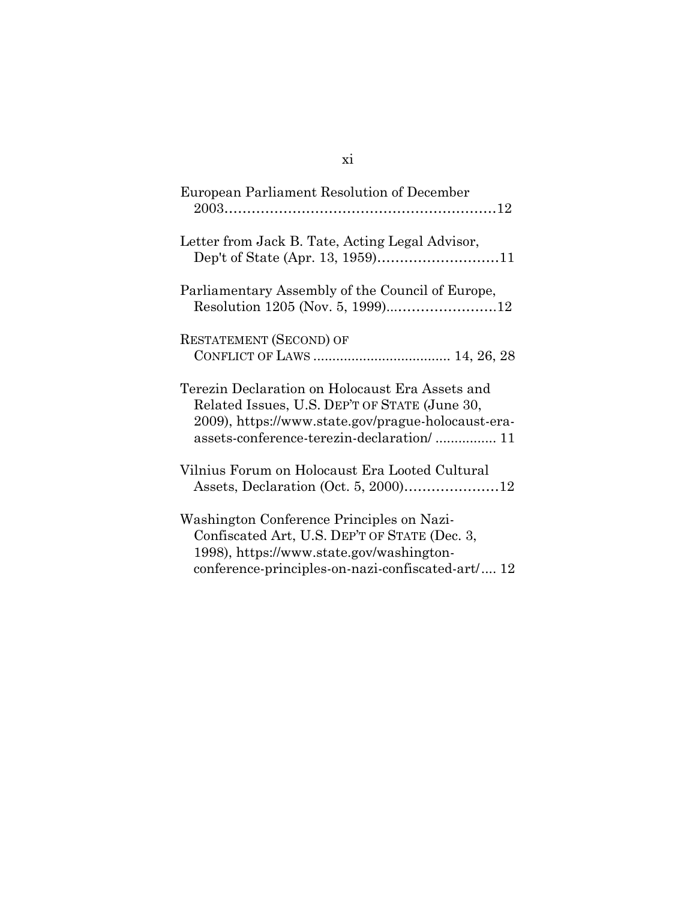| European Parliament Resolution of December                                                                                                                                                          |
|-----------------------------------------------------------------------------------------------------------------------------------------------------------------------------------------------------|
| Letter from Jack B. Tate, Acting Legal Advisor,                                                                                                                                                     |
| Parliamentary Assembly of the Council of Europe,                                                                                                                                                    |
| <b>RESTATEMENT (SECOND) OF</b>                                                                                                                                                                      |
| Terezin Declaration on Holocaust Era Assets and<br>Related Issues, U.S. DEP'T OF STATE (June 30,<br>2009), https://www.state.gov/prague-holocaust-era-<br>assets-conference-terezin-declaration/ 11 |
| Vilnius Forum on Holocaust Era Looted Cultural                                                                                                                                                      |
| Washington Conference Principles on Nazi-<br>Confiscated Art, U.S. DEP'T OF STATE (Dec. 3,<br>1998), https://www.state.gov/washington-<br>conference-principles-on-nazi-confiscated-art/ 12         |

# xi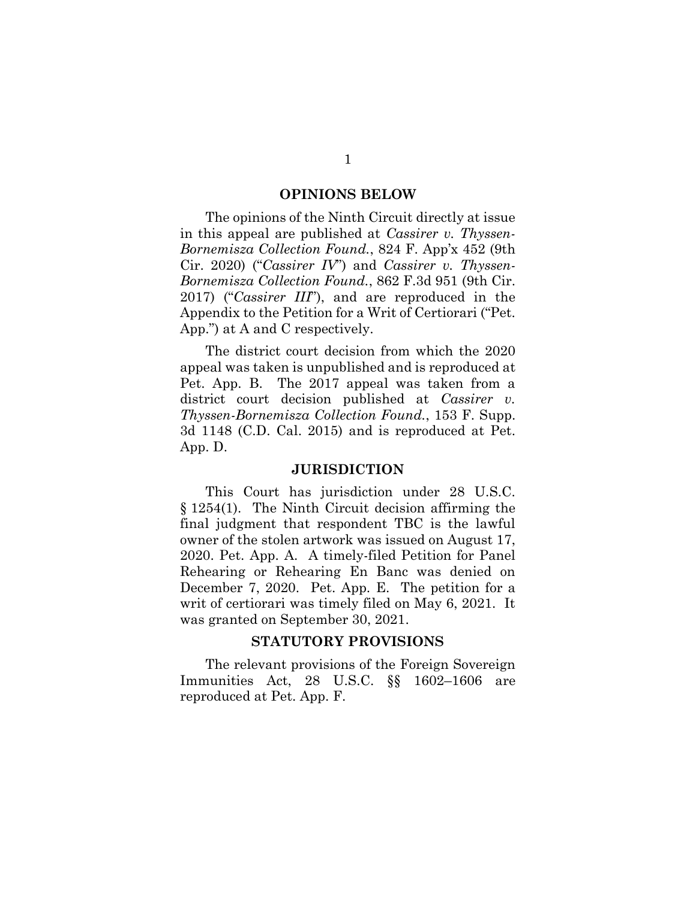#### **OPINIONS BELOW**

The opinions of the Ninth Circuit directly at issue in this appeal are published at *Cassirer v. Thyssen-Bornemisza Collection Found.*, 824 F. App'x 452 (9th Cir. 2020) ("*Cassirer IV*") and *Cassirer v. Thyssen-Bornemisza Collection Found.*, 862 F.3d 951 (9th Cir. 2017) ("*Cassirer III*"), and are reproduced in the Appendix to the Petition for a Writ of Certiorari ("Pet. App.") at A and C respectively.

The district court decision from which the 2020 appeal was taken is unpublished and is reproduced at Pet. App. B. The 2017 appeal was taken from a district court decision published at *Cassirer v. Thyssen-Bornemisza Collection Found.*, 153 F. Supp. 3d 1148 (C.D. Cal. 2015) and is reproduced at Pet. App. D.

#### **JURISDICTION**

This Court has jurisdiction under 28 U.S.C. § 1254(1). The Ninth Circuit decision affirming the final judgment that respondent TBC is the lawful owner of the stolen artwork was issued on August 17, 2020. Pet. App. A. A timely-filed Petition for Panel Rehearing or Rehearing En Banc was denied on December 7, 2020. Pet. App. E. The petition for a writ of certiorari was timely filed on May 6, 2021. It was granted on September 30, 2021.

#### **STATUTORY PROVISIONS**

The relevant provisions of the Foreign Sovereign Immunities Act, 28 U.S.C. §§ 1602–1606 are reproduced at Pet. App. F.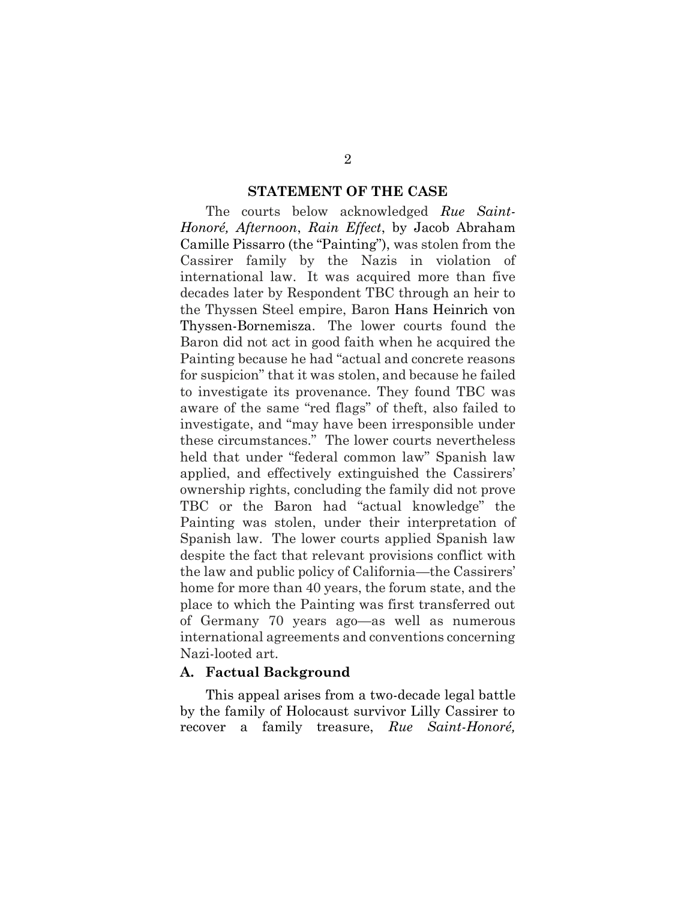#### **STATEMENT OF THE CASE**

The courts below acknowledged *Rue Saint-Honoré, Afternoon*, *Rain Effect*, by Jacob Abraham Camille Pissarro (the "Painting"), was stolen from the Cassirer family by the Nazis in violation of international law. It was acquired more than five decades later by Respondent TBC through an heir to the Thyssen Steel empire, Baron Hans Heinrich von Thyssen-Bornemisza. The lower courts found the Baron did not act in good faith when he acquired the Painting because he had "actual and concrete reasons for suspicion" that it was stolen, and because he failed to investigate its provenance. They found TBC was aware of the same "red flags" of theft, also failed to investigate, and "may have been irresponsible under these circumstances." The lower courts nevertheless held that under "federal common law" Spanish law applied, and effectively extinguished the Cassirers' ownership rights, concluding the family did not prove TBC or the Baron had "actual knowledge" the Painting was stolen, under their interpretation of Spanish law. The lower courts applied Spanish law despite the fact that relevant provisions conflict with the law and public policy of California—the Cassirers' home for more than 40 years, the forum state, and the place to which the Painting was first transferred out of Germany 70 years ago—as well as numerous international agreements and conventions concerning Nazi-looted art.

#### **A. Factual Background**

This appeal arises from a two-decade legal battle by the family of Holocaust survivor Lilly Cassirer to recover a family treasure, *Rue Saint-Honoré,*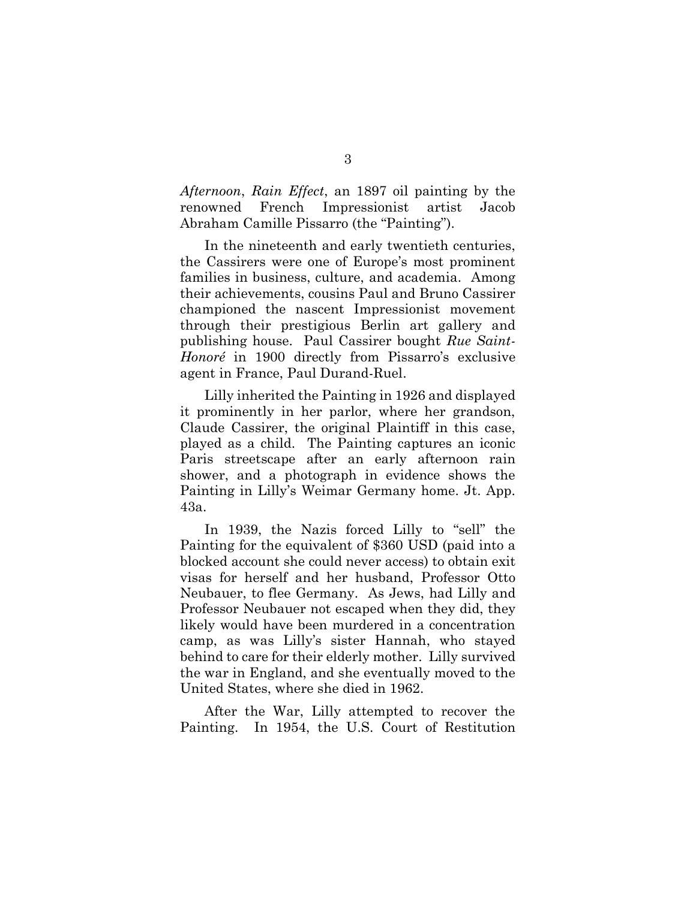*Afternoon*, *Rain Effect*, an 1897 oil painting by the renowned French Impressionist artist Jacob Abraham Camille Pissarro (the "Painting").

In the nineteenth and early twentieth centuries, the Cassirers were one of Europe's most prominent families in business, culture, and academia. Among their achievements, cousins Paul and Bruno Cassirer championed the nascent Impressionist movement through their prestigious Berlin art gallery and publishing house. Paul Cassirer bought *Rue Saint-Honoré* in 1900 directly from Pissarro's exclusive agent in France, Paul Durand-Ruel.

Lilly inherited the Painting in 1926 and displayed it prominently in her parlor, where her grandson, Claude Cassirer, the original Plaintiff in this case, played as a child. The Painting captures an iconic Paris streetscape after an early afternoon rain shower, and a photograph in evidence shows the Painting in Lilly's Weimar Germany home. Jt. App. 43a.

In 1939, the Nazis forced Lilly to "sell" the Painting for the equivalent of \$360 USD (paid into a blocked account she could never access) to obtain exit visas for herself and her husband, Professor Otto Neubauer, to flee Germany. As Jews, had Lilly and Professor Neubauer not escaped when they did, they likely would have been murdered in a concentration camp, as was Lilly's sister Hannah, who stayed behind to care for their elderly mother. Lilly survived the war in England, and she eventually moved to the United States, where she died in 1962.

After the War, Lilly attempted to recover the Painting. In 1954, the U.S. Court of Restitution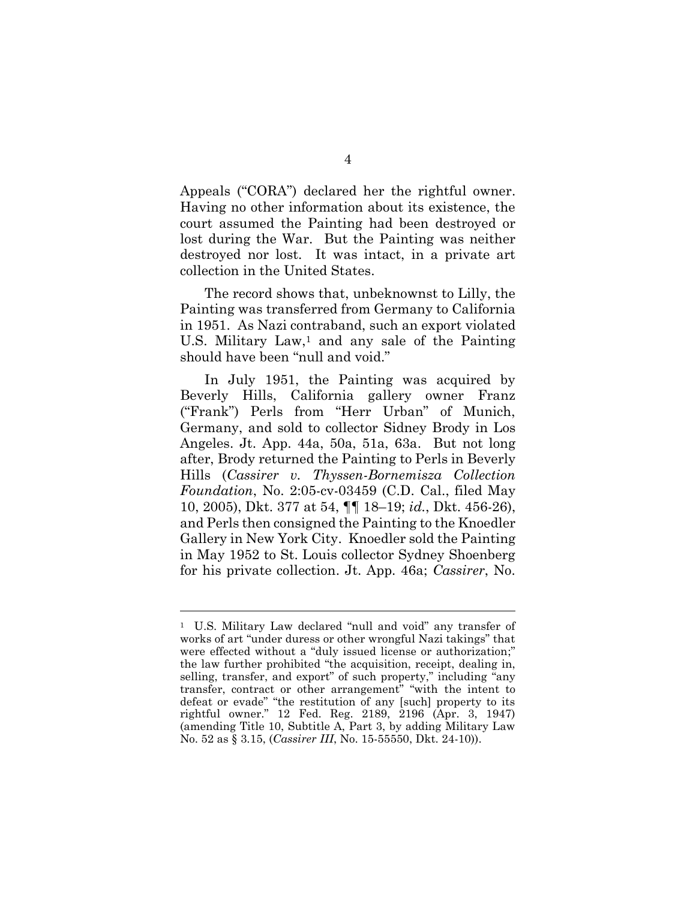Appeals ("CORA") declared her the rightful owner. Having no other information about its existence, the court assumed the Painting had been destroyed or lost during the War. But the Painting was neither destroyed nor lost. It was intact, in a private art collection in the United States.

The record shows that, unbeknownst to Lilly, the Painting was transferred from Germany to California in 1951. As Nazi contraband, such an export violated U.S. Military  $Law<sup>1</sup>$ , and any sale of the Painting should have been "null and void."

In July 1951, the Painting was acquired by Beverly Hills, California gallery owner Franz ("Frank") Perls from "Herr Urban" of Munich, Germany, and sold to collector Sidney Brody in Los Angeles. Jt. App. 44a, 50a, 51a, 63a. But not long after, Brody returned the Painting to Perls in Beverly Hills (*Cassirer v. Thyssen-Bornemisza Collection Foundation*, No. 2:05-cv-03459 (C.D. Cal., filed May 10, 2005), Dkt. 377 at 54, ¶¶ 18–19; *id.*, Dkt. 456-26), and Perls then consigned the Painting to the Knoedler Gallery in New York City. Knoedler sold the Painting in May 1952 to St. Louis collector Sydney Shoenberg for his private collection. Jt. App. 46a; *Cassirer*, No.

<sup>1</sup> U.S. Military Law declared "null and void" any transfer of works of art "under duress or other wrongful Nazi takings" that were effected without a "duly issued license or authorization;" the law further prohibited "the acquisition, receipt, dealing in, selling, transfer, and export" of such property," including "any transfer, contract or other arrangement" "with the intent to defeat or evade" "the restitution of any [such] property to its rightful owner." 12 Fed. Reg. 2189, 2196 (Apr. 3, 1947) (amending Title 10, Subtitle A, Part 3, by adding Military Law No. 52 as § 3.15, (*Cassirer III*, No. 15-55550, Dkt. 24-10)).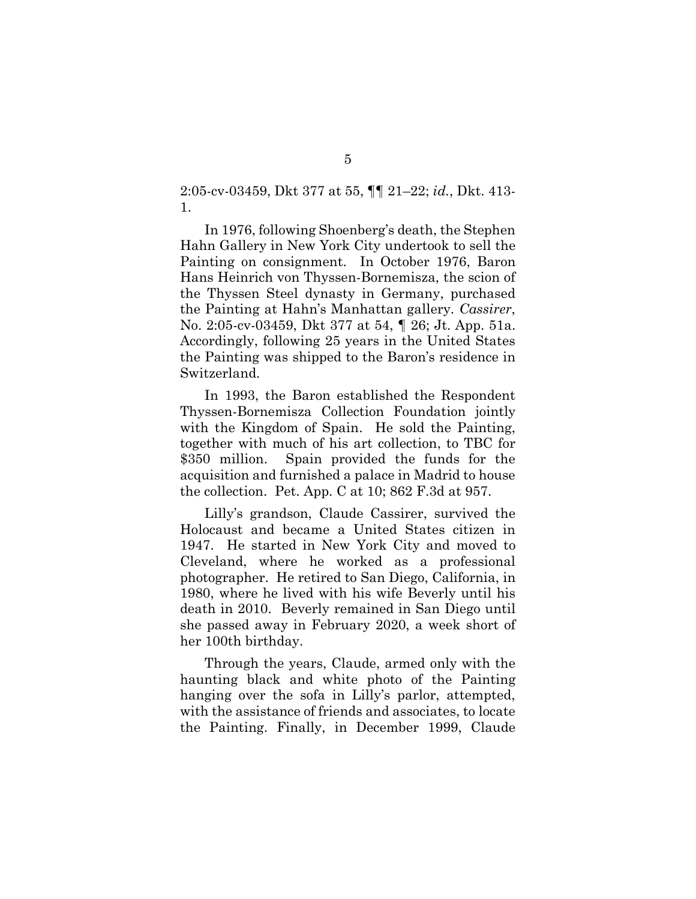2:05-cv-03459, Dkt 377 at 55, ¶¶ 21–22; *id.*, Dkt. 413- 1.

In 1976, following Shoenberg's death, the Stephen Hahn Gallery in New York City undertook to sell the Painting on consignment. In October 1976, Baron Hans Heinrich von Thyssen-Bornemisza, the scion of the Thyssen Steel dynasty in Germany, purchased the Painting at Hahn's Manhattan gallery. *Cassirer*, No. 2:05-cv-03459, Dkt 377 at 54, ¶ 26; Jt. App. 51a. Accordingly, following 25 years in the United States the Painting was shipped to the Baron's residence in Switzerland.

In 1993, the Baron established the Respondent Thyssen-Bornemisza Collection Foundation jointly with the Kingdom of Spain. He sold the Painting, together with much of his art collection, to TBC for \$350 million. Spain provided the funds for the acquisition and furnished a palace in Madrid to house the collection. Pet. App. C at 10; 862 F.3d at 957.

Lilly's grandson, Claude Cassirer, survived the Holocaust and became a United States citizen in 1947. He started in New York City and moved to Cleveland, where he worked as a professional photographer. He retired to San Diego, California, in 1980, where he lived with his wife Beverly until his death in 2010. Beverly remained in San Diego until she passed away in February 2020, a week short of her 100th birthday.

Through the years, Claude, armed only with the haunting black and white photo of the Painting hanging over the sofa in Lilly's parlor, attempted, with the assistance of friends and associates, to locate the Painting. Finally, in December 1999, Claude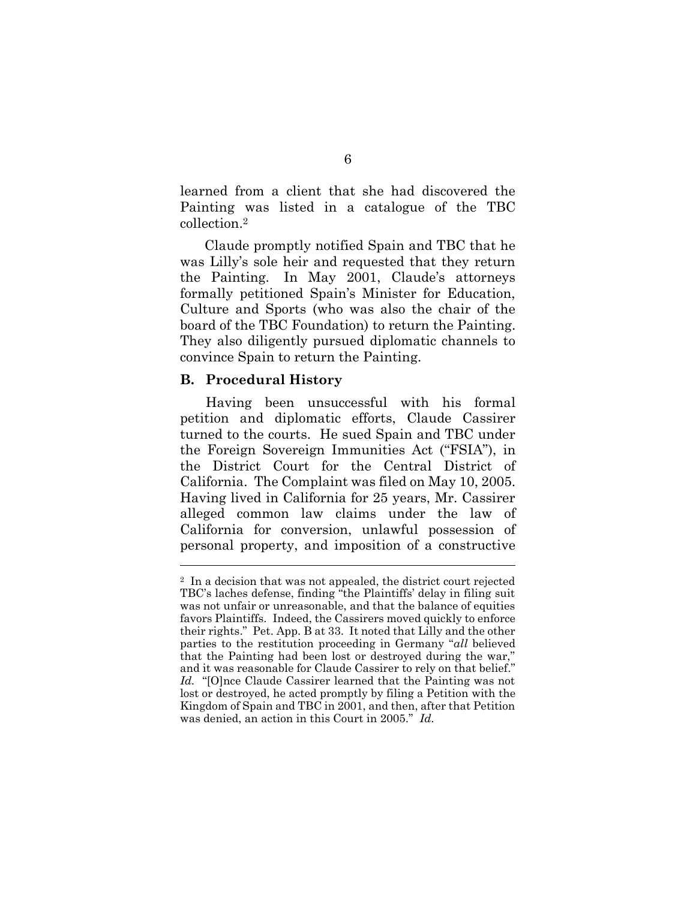learned from a client that she had discovered the Painting was listed in a catalogue of the TBC collection.<sup>2</sup>

Claude promptly notified Spain and TBC that he was Lilly's sole heir and requested that they return the Painting. In May 2001, Claude's attorneys formally petitioned Spain's Minister for Education, Culture and Sports (who was also the chair of the board of the TBC Foundation) to return the Painting. They also diligently pursued diplomatic channels to convince Spain to return the Painting.

#### **B. Procedural History**

Having been unsuccessful with his formal petition and diplomatic efforts, Claude Cassirer turned to the courts. He sued Spain and TBC under the Foreign Sovereign Immunities Act ("FSIA"), in the District Court for the Central District of California. The Complaint was filed on May 10, 2005. Having lived in California for 25 years, Mr. Cassirer alleged common law claims under the law of California for conversion, unlawful possession of personal property, and imposition of a constructive

<sup>2</sup> In a decision that was not appealed, the district court rejected TBC's laches defense, finding "the Plaintiffs' delay in filing suit was not unfair or unreasonable, and that the balance of equities favors Plaintiffs. Indeed, the Cassirers moved quickly to enforce their rights." Pet. App. B at 33. It noted that Lilly and the other parties to the restitution proceeding in Germany "*all* believed that the Painting had been lost or destroyed during the war," and it was reasonable for Claude Cassirer to rely on that belief." *Id.* "[O]nce Claude Cassirer learned that the Painting was not lost or destroyed, he acted promptly by filing a Petition with the Kingdom of Spain and TBC in 2001, and then, after that Petition was denied, an action in this Court in 2005." *Id.*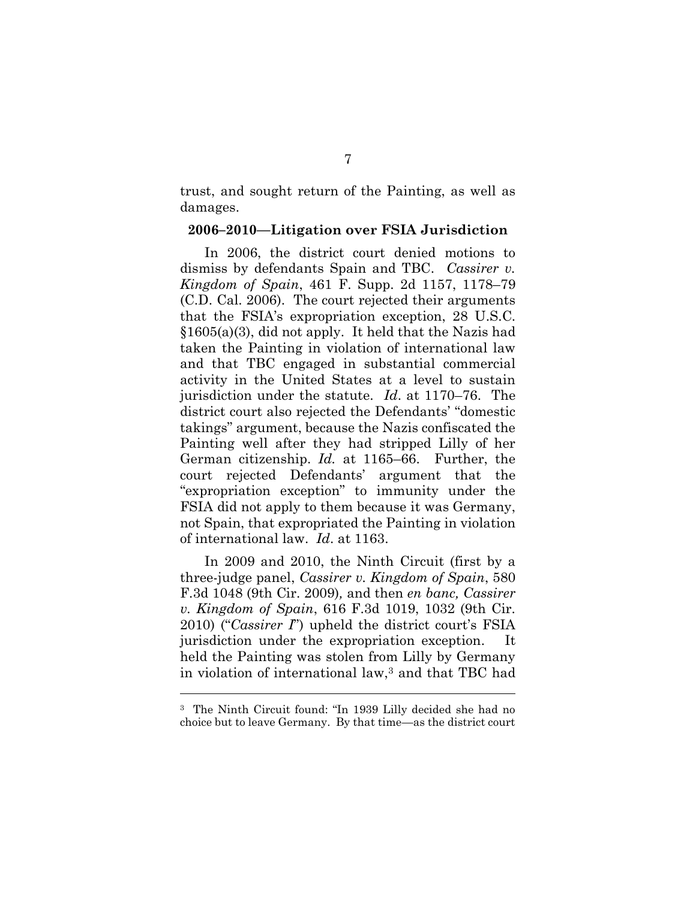trust, and sought return of the Painting, as well as damages.

#### **2006–2010—Litigation over FSIA Jurisdiction**

In 2006, the district court denied motions to dismiss by defendants Spain and TBC. *Cassirer v. Kingdom of Spain*, 461 F. Supp. 2d 1157, 1178–79 (C.D. Cal. 2006). The court rejected their arguments that the FSIA's expropriation exception, 28 U.S.C. §1605(a)(3), did not apply. It held that the Nazis had taken the Painting in violation of international law and that TBC engaged in substantial commercial activity in the United States at a level to sustain jurisdiction under the statute. *Id*. at 1170–76. The district court also rejected the Defendants' "domestic takings" argument, because the Nazis confiscated the Painting well after they had stripped Lilly of her German citizenship. *Id.* at 1165–66. Further, the court rejected Defendants' argument that the "expropriation exception" to immunity under the FSIA did not apply to them because it was Germany, not Spain, that expropriated the Painting in violation of international law. *Id*. at 1163.

In 2009 and 2010, the Ninth Circuit (first by a three-judge panel, *Cassirer v. Kingdom of Spain*, 580 F.3d 1048 (9th Cir. 2009)*,* and then *en banc, Cassirer v. Kingdom of Spain*, 616 F.3d 1019, 1032 (9th Cir. 2010) ("*Cassirer I*") upheld the district court's FSIA jurisdiction under the expropriation exception. It held the Painting was stolen from Lilly by Germany in violation of international law,<sup>3</sup> and that TBC had

<sup>3</sup> The Ninth Circuit found: "In 1939 Lilly decided she had no choice but to leave Germany. By that time—as the district court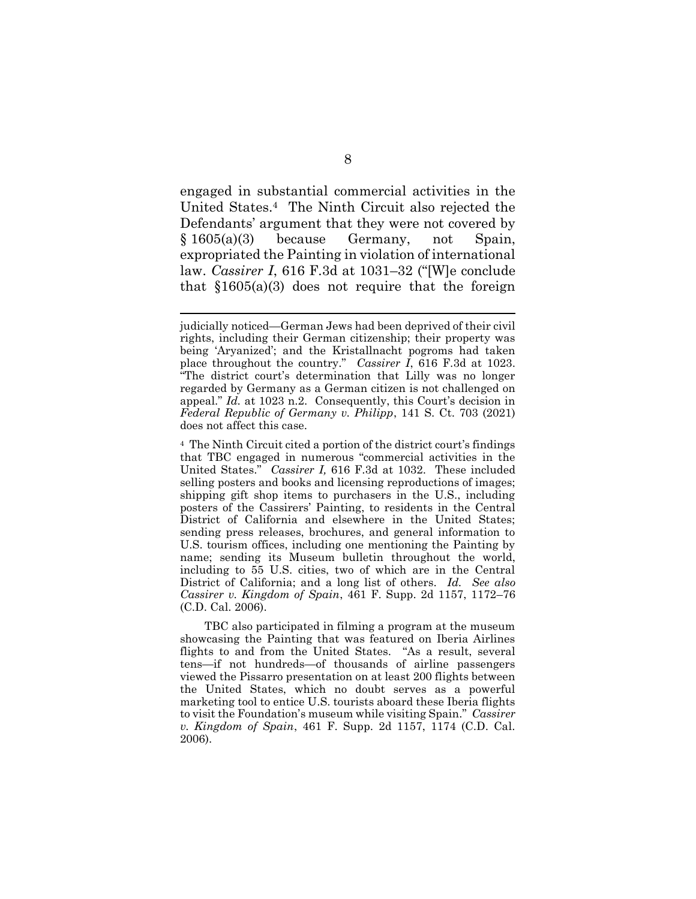engaged in substantial commercial activities in the United States.4 The Ninth Circuit also rejected the Defendants' argument that they were not covered by § 1605(a)(3) because Germany, not Spain, expropriated the Painting in violation of international law. *Cassirer I*, 616 F.3d at 1031–32 ("[W]e conclude that  $$1605(a)(3)$  does not require that the foreign

TBC also participated in filming a program at the museum showcasing the Painting that was featured on Iberia Airlines flights to and from the United States. "As a result, several tens—if not hundreds—of thousands of airline passengers viewed the Pissarro presentation on at least 200 flights between the United States, which no doubt serves as a powerful marketing tool to entice U.S. tourists aboard these Iberia flights to visit the Foundation's museum while visiting Spain." *Cassirer v. Kingdom of Spain*, 461 F. Supp. 2d 1157, 1174 (C.D. Cal. 2006).

judicially noticed—German Jews had been deprived of their civil rights, including their German citizenship; their property was being 'Aryanized'; and the Kristallnacht pogroms had taken place throughout the country." *Cassirer I*, 616 F.3d at 1023. "The district court's determination that Lilly was no longer regarded by Germany as a German citizen is not challenged on appeal." *Id.* at 1023 n.2. Consequently, this Court's decision in *Federal Republic of Germany v. Philipp*, 141 S. Ct. 703 (2021) does not affect this case.

<sup>4</sup> The Ninth Circuit cited a portion of the district court's findings that TBC engaged in numerous "commercial activities in the United States." *Cassirer I,* 616 F.3d at 1032. These included selling posters and books and licensing reproductions of images; shipping gift shop items to purchasers in the U.S., including posters of the Cassirers' Painting, to residents in the Central District of California and elsewhere in the United States; sending press releases, brochures, and general information to U.S. tourism offices, including one mentioning the Painting by name; sending its Museum bulletin throughout the world, including to 55 U.S. cities, two of which are in the Central District of California; and a long list of others. *Id. See also Cassirer v. Kingdom of Spain*, 461 F. Supp. 2d 1157, 1172–76 (C.D. Cal. 2006).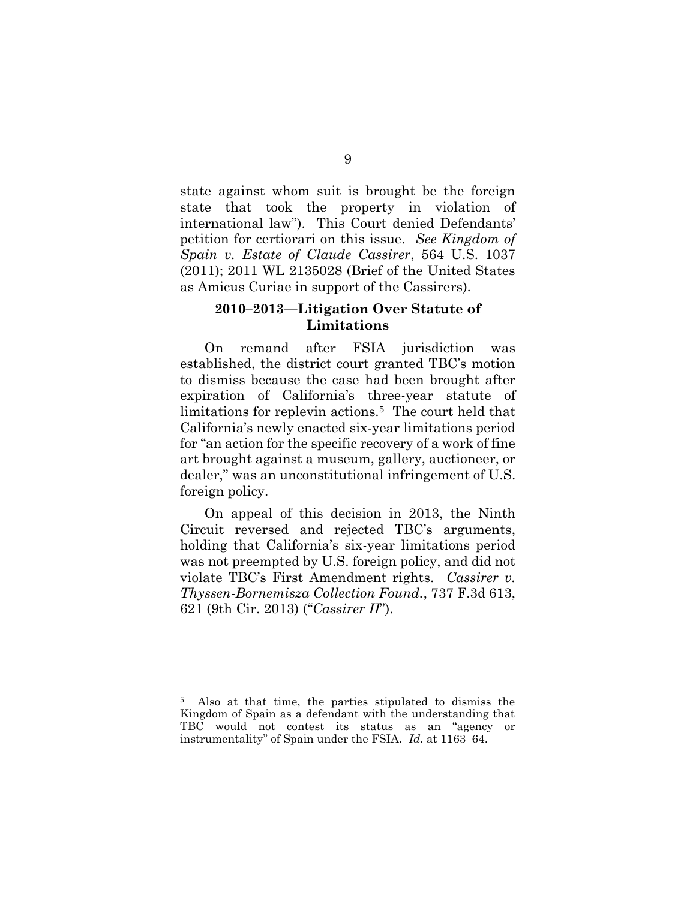state against whom suit is brought be the foreign state that took the property in violation of international law"). This Court denied Defendants' petition for certiorari on this issue. *See Kingdom of Spain v. Estate of Claude Cassirer*, 564 U.S. 1037 (2011); 2011 WL 2135028 (Brief of the United States as Amicus Curiae in support of the Cassirers).

## **2010–2013—Litigation Over Statute of Limitations**

On remand after FSIA jurisdiction was established, the district court granted TBC's motion to dismiss because the case had been brought after expiration of California's three-year statute of limitations for replevin actions.<sup>5</sup> The court held that California's newly enacted six-year limitations period for "an action for the specific recovery of a work of fine art brought against a museum, gallery, auctioneer, or dealer," was an unconstitutional infringement of U.S. foreign policy.

On appeal of this decision in 2013, the Ninth Circuit reversed and rejected TBC's arguments, holding that California's six-year limitations period was not preempted by U.S. foreign policy, and did not violate TBC's First Amendment rights. *Cassirer v. Thyssen-Bornemisza Collection Found.*, 737 F.3d 613, 621 (9th Cir. 2013) ("*Cassirer II*").

Also at that time, the parties stipulated to dismiss the Kingdom of Spain as a defendant with the understanding that TBC would not contest its status as an "agency or instrumentality" of Spain under the FSIA. *Id.* at 1163–64.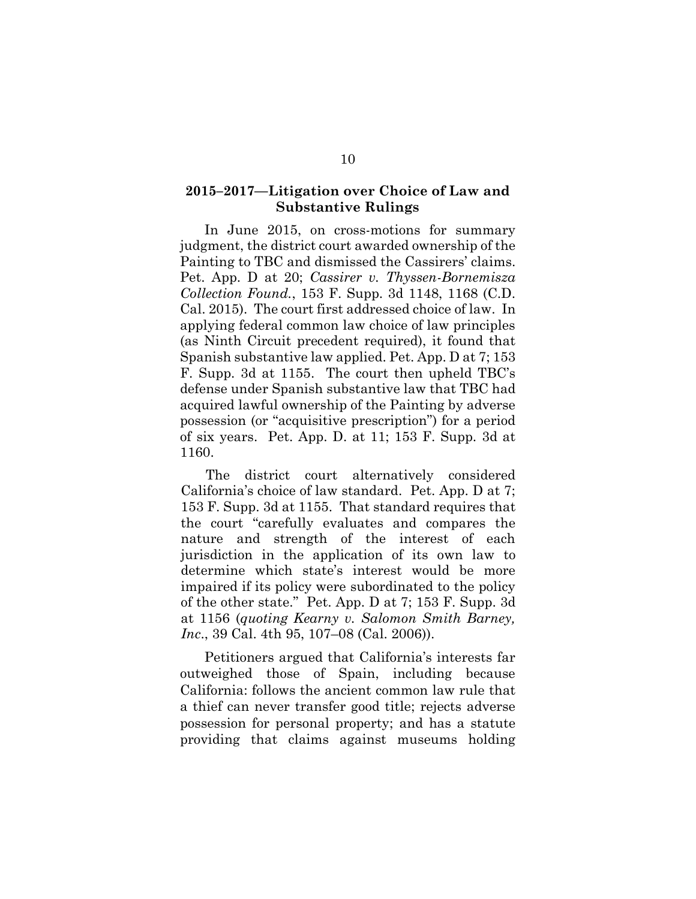#### **2015–2017—Litigation over Choice of Law and Substantive Rulings**

In June 2015, on cross-motions for summary judgment, the district court awarded ownership of the Painting to TBC and dismissed the Cassirers' claims. Pet. App. D at 20; *Cassirer v. Thyssen-Bornemisza Collection Found.*, 153 F. Supp. 3d 1148, 1168 (C.D. Cal. 2015). The court first addressed choice of law. In applying federal common law choice of law principles (as Ninth Circuit precedent required), it found that Spanish substantive law applied. Pet. App. D at 7; 153 F. Supp. 3d at 1155. The court then upheld TBC's defense under Spanish substantive law that TBC had acquired lawful ownership of the Painting by adverse possession (or "acquisitive prescription") for a period of six years. Pet. App. D. at 11; 153 F. Supp. 3d at 1160.

The district court alternatively considered California's choice of law standard. Pet. App. D at 7; 153 F. Supp. 3d at 1155. That standard requires that the court "carefully evaluates and compares the nature and strength of the interest of each jurisdiction in the application of its own law to determine which state's interest would be more impaired if its policy were subordinated to the policy of the other state." Pet. App. D at 7; 153 F. Supp. 3d at 1156 (*quoting Kearny v. Salomon Smith Barney, Inc*., 39 Cal. 4th 95, 107–08 (Cal. 2006)).

Petitioners argued that California's interests far outweighed those of Spain, including because California: follows the ancient common law rule that a thief can never transfer good title; rejects adverse possession for personal property; and has a statute providing that claims against museums holding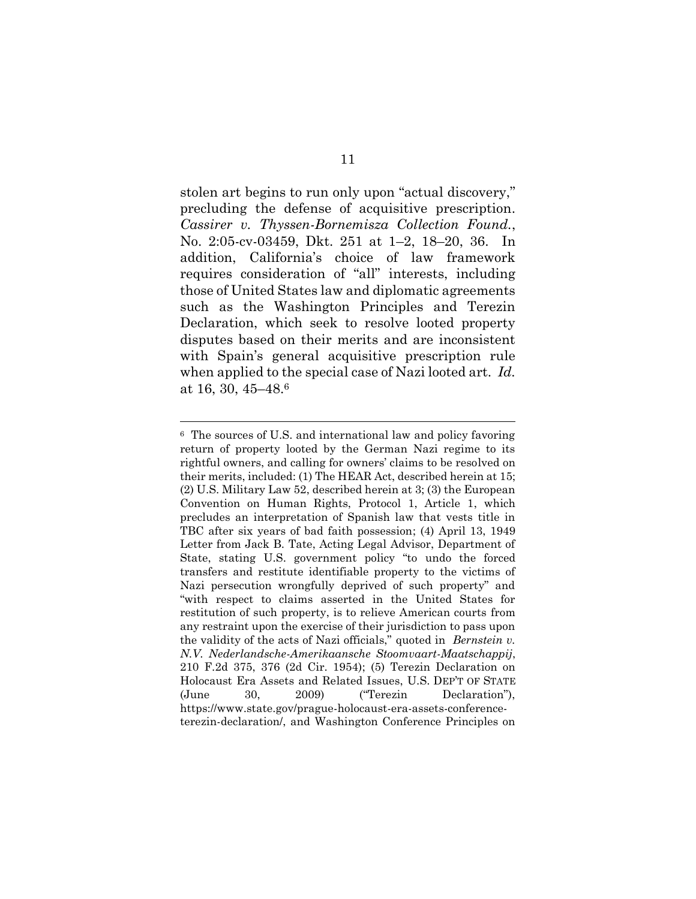stolen art begins to run only upon "actual discovery," precluding the defense of acquisitive prescription. *Cassirer v. Thyssen-Bornemisza Collection Found.*, No. 2:05-cv-03459, Dkt. 251 at 1–2, 18–20, 36. In addition, California's choice of law framework requires consideration of "all" interests, including those of United States law and diplomatic agreements such as the Washington Principles and Terezin Declaration, which seek to resolve looted property disputes based on their merits and are inconsistent with Spain's general acquisitive prescription rule when applied to the special case of Nazi looted art. *Id.*  at 16, 30, 45–48. 6

<sup>6</sup> The sources of U.S. and international law and policy favoring return of property looted by the German Nazi regime to its rightful owners, and calling for owners' claims to be resolved on their merits, included: (1) The HEAR Act, described herein at 15; (2) U.S. Military Law 52, described herein at 3; (3) the European Convention on Human Rights, Protocol 1, Article 1, which precludes an interpretation of Spanish law that vests title in TBC after six years of bad faith possession; (4) April 13, 1949 Letter from Jack B. Tate, Acting Legal Advisor, Department of State, stating U.S. government policy "to undo the forced transfers and restitute identifiable property to the victims of Nazi persecution wrongfully deprived of such property" and "with respect to claims asserted in the United States for restitution of such property, is to relieve American courts from any restraint upon the exercise of their jurisdiction to pass upon the validity of the acts of Nazi officials," quoted in *Bernstein v. N.V. Nederlandsche-Amerikaansche Stoomvaart-Maatschappij*, 210 F.2d 375, 376 (2d Cir. 1954); (5) Terezin Declaration on Holocaust Era Assets and Related Issues, U.S. DEP'T OF STATE (June 30, 2009) ("Terezin Declaration"), https://www.state.gov/prague-holocaust-era-assets-conferenceterezin-declaration/, and Washington Conference Principles on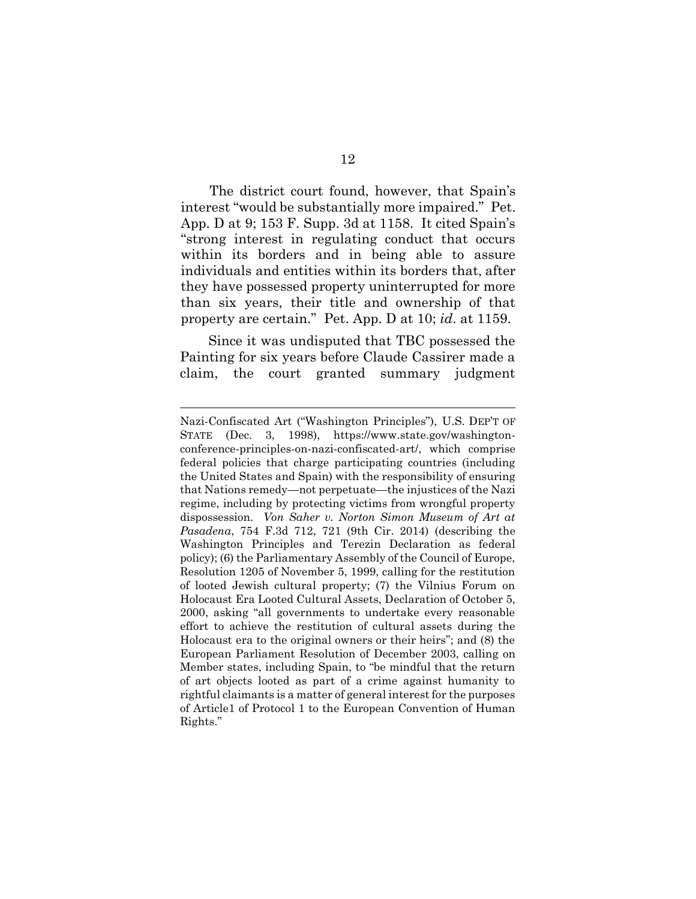The district court found, however, that Spain's interest "would be substantially more impaired." Pet. App. D at 9; 153 F. Supp. 3d at 1158. It cited Spain's "strong interest in regulating conduct that occurs within its borders and in being able to assure individuals and entities within its borders that, after they have possessed property uninterrupted for more than six years, their title and ownership of that property are certain." Pet. App. D at 10; *id*. at 1159.

Since it was undisputed that TBC possessed the Painting for six years before Claude Cassirer made a claim, the court granted summary judgment

Nazi-Confiscated Art ("Washington Principles"), U.S. DEP'T OF STATE (Dec. 3, 1998), https://www.state.gov/washingtonconference-principles-on-nazi-confiscated-art/, which comprise federal policies that charge participating countries (including the United States and Spain) with the responsibility of ensuring that Nations remedy—not perpetuate—the injustices of the Nazi regime, including by protecting victims from wrongful property dispossession. *Von Saher v. Norton Simon Museum of Art at Pasadena*, 754 F.3d 712, 721 (9th Cir. 2014) (describing the Washington Principles and Terezin Declaration as federal policy); (6) the Parliamentary Assembly of the Council of Europe, Resolution 1205 of November 5, 1999, calling for the restitution of looted Jewish cultural property; (7) the Vilnius Forum on Holocaust Era Looted Cultural Assets, Declaration of October 5, 2000, asking "all governments to undertake every reasonable effort to achieve the restitution of cultural assets during the Holocaust era to the original owners or their heirs"; and (8) the European Parliament Resolution of December 2003, calling on Member states, including Spain, to "be mindful that the return of art objects looted as part of a crime against humanity to rightful claimants is a matter of general interest for the purposes of Article1 of Protocol 1 to the European Convention of Human Rights."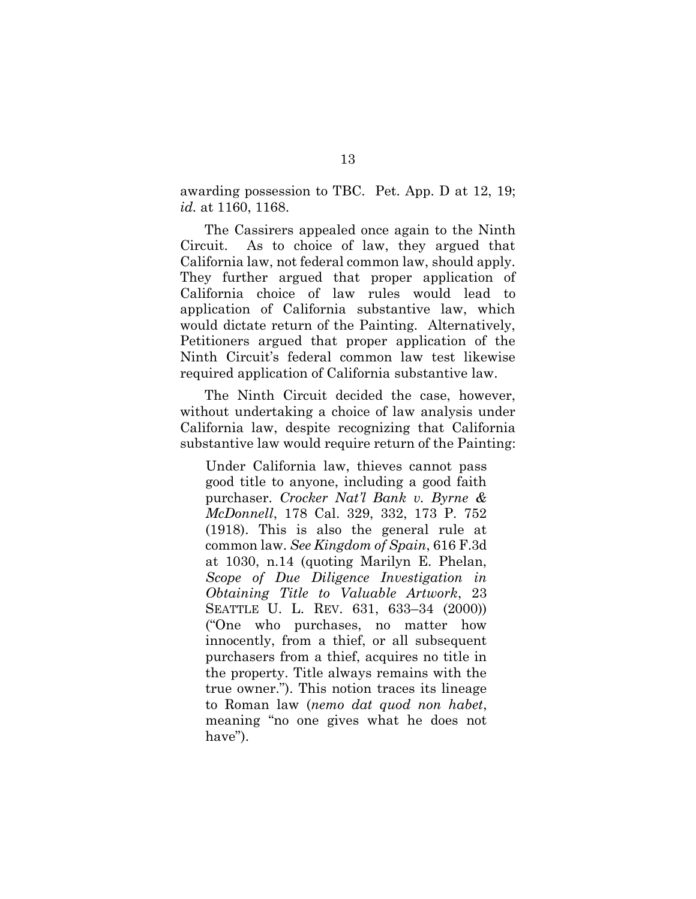awarding possession to TBC. Pet. App. D at 12, 19; *id.* at 1160, 1168.

The Cassirers appealed once again to the Ninth Circuit. As to choice of law, they argued that California law, not federal common law, should apply. They further argued that proper application of California choice of law rules would lead to application of California substantive law, which would dictate return of the Painting. Alternatively, Petitioners argued that proper application of the Ninth Circuit's federal common law test likewise required application of California substantive law.

The Ninth Circuit decided the case, however, without undertaking a choice of law analysis under California law, despite recognizing that California substantive law would require return of the Painting:

Under California law, thieves cannot pass good title to anyone, including a good faith purchaser. *[Crocker Nat'l Bank v. Byrne &](http://www.westlaw.com/Link/Document/FullText?findType=Y&serNum=1918006604&pubNum=0000660&originatingDoc=Ic21981f0659a11e7bb97edaf3db64019&refType=RP&originationContext=document&vr=3.0&rs=cblt1.0&transitionType=DocumentItem&contextData=(sc.Default))  McDonnell*[, 178 Cal. 329, 332, 173 P. 752](http://www.westlaw.com/Link/Document/FullText?findType=Y&serNum=1918006604&pubNum=0000660&originatingDoc=Ic21981f0659a11e7bb97edaf3db64019&refType=RP&originationContext=document&vr=3.0&rs=cblt1.0&transitionType=DocumentItem&contextData=(sc.Default))  [\(1918\).](http://www.westlaw.com/Link/Document/FullText?findType=Y&serNum=1918006604&pubNum=0000660&originatingDoc=Ic21981f0659a11e7bb97edaf3db64019&refType=RP&originationContext=document&vr=3.0&rs=cblt1.0&transitionType=DocumentItem&contextData=(sc.Default)) This is also the general rule at common law. *See [Kingdom of Spain](http://www.westlaw.com/Link/Document/FullText?findType=Y&serNum=2022750432&pubNum=0000506&originatingDoc=Ic21981f0659a11e7bb97edaf3db64019&refType=RP&fi=co_pp_sp_506_1030&originationContext=document&vr=3.0&rs=cblt1.0&transitionType=DocumentItem&contextData=(sc.Default)#co_pp_sp_506_1030)*[, 616 F.3d](http://www.westlaw.com/Link/Document/FullText?findType=Y&serNum=2022750432&pubNum=0000506&originatingDoc=Ic21981f0659a11e7bb97edaf3db64019&refType=RP&fi=co_pp_sp_506_1030&originationContext=document&vr=3.0&rs=cblt1.0&transitionType=DocumentItem&contextData=(sc.Default)#co_pp_sp_506_1030)  [at 1030,](http://www.westlaw.com/Link/Document/FullText?findType=Y&serNum=2022750432&pubNum=0000506&originatingDoc=Ic21981f0659a11e7bb97edaf3db64019&refType=RP&fi=co_pp_sp_506_1030&originationContext=document&vr=3.0&rs=cblt1.0&transitionType=DocumentItem&contextData=(sc.Default)#co_pp_sp_506_1030) n.14 (quoting Marilyn E. Phelan, *[Scope of Due Diligence Investigation in](http://www.westlaw.com/Link/Document/FullText?findType=Y&serNum=0280819034&pubNum=0107349&originatingDoc=Ic21981f0659a11e7bb97edaf3db64019&refType=LR&fi=co_pp_sp_107349_633&originationContext=document&vr=3.0&rs=cblt1.0&transitionType=DocumentItem&contextData=(sc.Default)#co_pp_sp_107349_633)  [Obtaining Title to Valuable Artwork](http://www.westlaw.com/Link/Document/FullText?findType=Y&serNum=0280819034&pubNum=0107349&originatingDoc=Ic21981f0659a11e7bb97edaf3db64019&refType=LR&fi=co_pp_sp_107349_633&originationContext=document&vr=3.0&rs=cblt1.0&transitionType=DocumentItem&contextData=(sc.Default)#co_pp_sp_107349_633)*, 23 SEATTLE U. L. REV[. 631, 633](http://www.westlaw.com/Link/Document/FullText?findType=Y&serNum=0280819034&pubNum=0107349&originatingDoc=Ic21981f0659a11e7bb97edaf3db64019&refType=LR&fi=co_pp_sp_107349_633&originationContext=document&vr=3.0&rs=cblt1.0&transitionType=DocumentItem&contextData=(sc.Default)#co_pp_sp_107349_633)–34 (2000)) ("One who purchases, no matter how innocently, from a thief, or all subsequent purchasers from a thief, acquires no title in the property. Title always remains with the true owner."). This notion traces its lineage to Roman law (*nemo dat quod non habet*, meaning "no one gives what he does not have").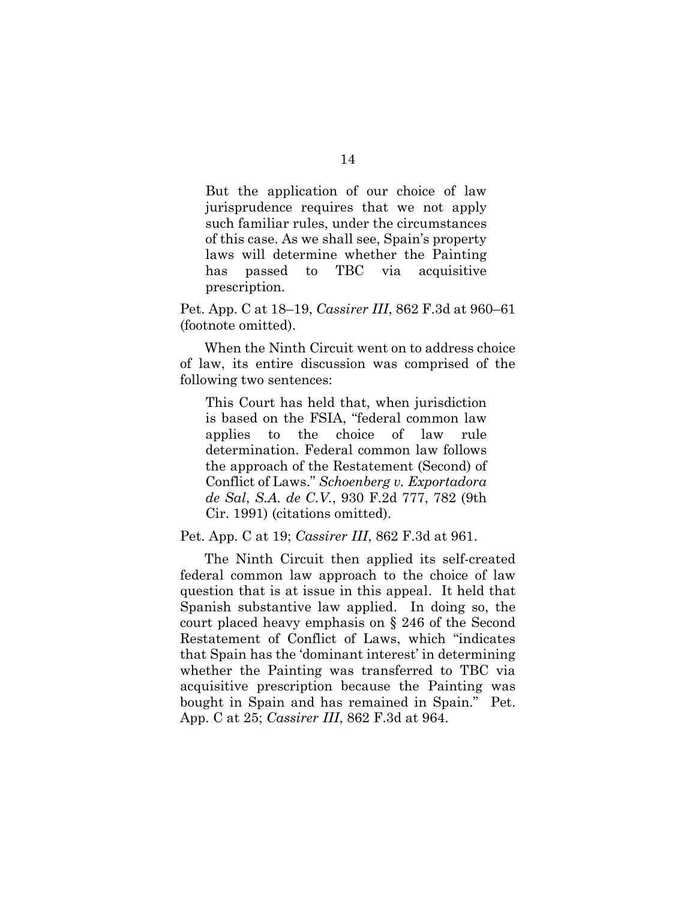But the application of our choice of law jurisprudence requires that we not apply such familiar rules, under the circumstances of this case. As we shall see, Spain's property laws will determine whether the Painting has passed to TBC via acquisitive prescription.

Pet. App. C at 18–19, *Cassirer III*, 862 F.3d at 960–61 (footnote omitted).

When the Ninth Circuit went on to address choice of law, its entire discussion was comprised of the following two sentences:

This Court has held that, when jurisdiction is based on the FSIA, "federal common law applies to the choice of law rule determination. Federal common law follows the approach of the Restatement (Second) of Conflict of Laws." *[Schoenberg v. Exportadora](http://www.westlaw.com/Link/Document/FullText?findType=Y&serNum=1991077476&pubNum=0000350&originatingDoc=Ic21981f0659a11e7bb97edaf3db64019&refType=RP&fi=co_pp_sp_350_782&originationContext=document&vr=3.0&rs=cblt1.0&transitionType=DocumentItem&contextData=(sc.Default)#co_pp_sp_350_782)  de Sal*, *S.A. de C.V.*[, 930 F.2d 777, 782 \(9th](http://www.westlaw.com/Link/Document/FullText?findType=Y&serNum=1991077476&pubNum=0000350&originatingDoc=Ic21981f0659a11e7bb97edaf3db64019&refType=RP&fi=co_pp_sp_350_782&originationContext=document&vr=3.0&rs=cblt1.0&transitionType=DocumentItem&contextData=(sc.Default)#co_pp_sp_350_782)  [Cir. 1991\)](http://www.westlaw.com/Link/Document/FullText?findType=Y&serNum=1991077476&pubNum=0000350&originatingDoc=Ic21981f0659a11e7bb97edaf3db64019&refType=RP&fi=co_pp_sp_350_782&originationContext=document&vr=3.0&rs=cblt1.0&transitionType=DocumentItem&contextData=(sc.Default)#co_pp_sp_350_782) (citations omitted).

Pet. App. C at 19; *Cassirer III*, 862 F.3d at 961.

The Ninth Circuit then applied its self-created federal common law approach to the choice of law question that is at issue in this appeal. It held that Spanish substantive law applied. In doing so, the court placed heavy emphasis on § 246 of the Second Restatement of Conflict of Laws, which "indicates that Spain has the 'dominant interest' in determining whether the Painting was transferred to TBC via acquisitive prescription because the Painting was bought in Spain and has remained in Spain." Pet. App. C at 25; *Cassirer III*, 862 F.3d at 964.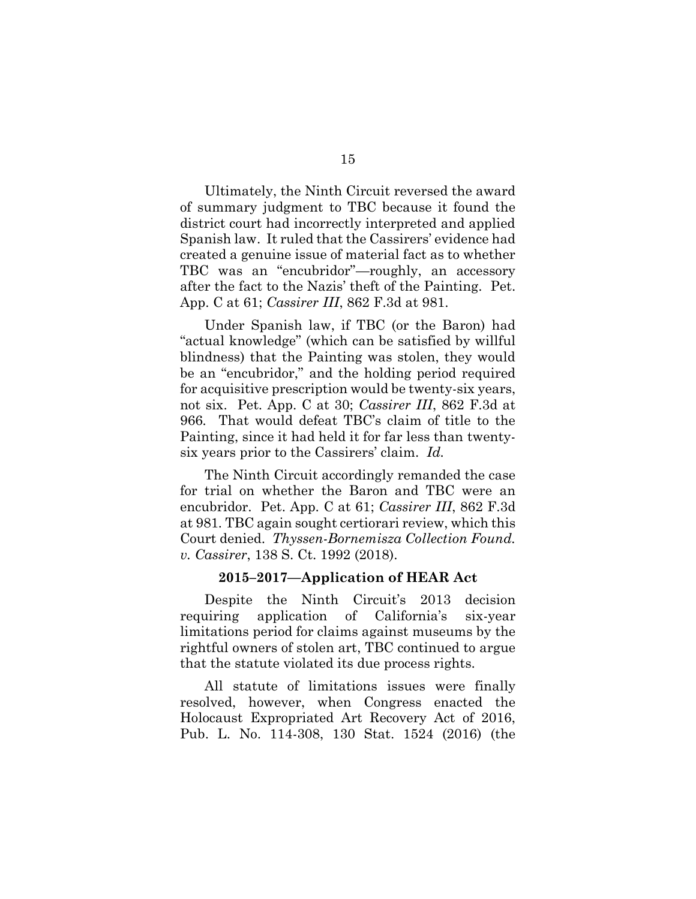Ultimately, the Ninth Circuit reversed the award of summary judgment to TBC because it found the district court had incorrectly interpreted and applied Spanish law. It ruled that the Cassirers' evidence had created a genuine issue of material fact as to whether TBC was an "encubridor"—roughly, an accessory after the fact to the Nazis' theft of the Painting. Pet. App. C at 61; *Cassirer III*, 862 F.3d at 981.

Under Spanish law, if TBC (or the Baron) had "actual knowledge" (which can be satisfied by willful blindness) that the Painting was stolen, they would be an "encubridor," and the holding period required for acquisitive prescription would be twenty-six years, not six. Pet. App. C at 30; *Cassirer III*, 862 F.3d at 966*.* That would defeat TBC's claim of title to the Painting, since it had held it for far less than twentysix years prior to the Cassirers' claim. *Id.*

The Ninth Circuit accordingly remanded the case for trial on whether the Baron and TBC were an encubridor. Pet. App. C at 61; *Cassirer III*, 862 F.3d at 981*.* TBC again sought certiorari review, which this Court denied. *Thyssen-Bornemisza Collection Found. v. Cassirer*, 138 S. Ct. 1992 (2018).

#### **2015–2017—Application of HEAR Act**

Despite the Ninth Circuit's 2013 decision requiring application of California's six-year limitations period for claims against museums by the rightful owners of stolen art, TBC continued to argue that the statute violated its due process rights.

All statute of limitations issues were finally resolved, however, when Congress enacted the Holocaust Expropriated Art Recovery Act of 2016, Pub. L. No. 114-308, 130 Stat. 1524 (2016) (the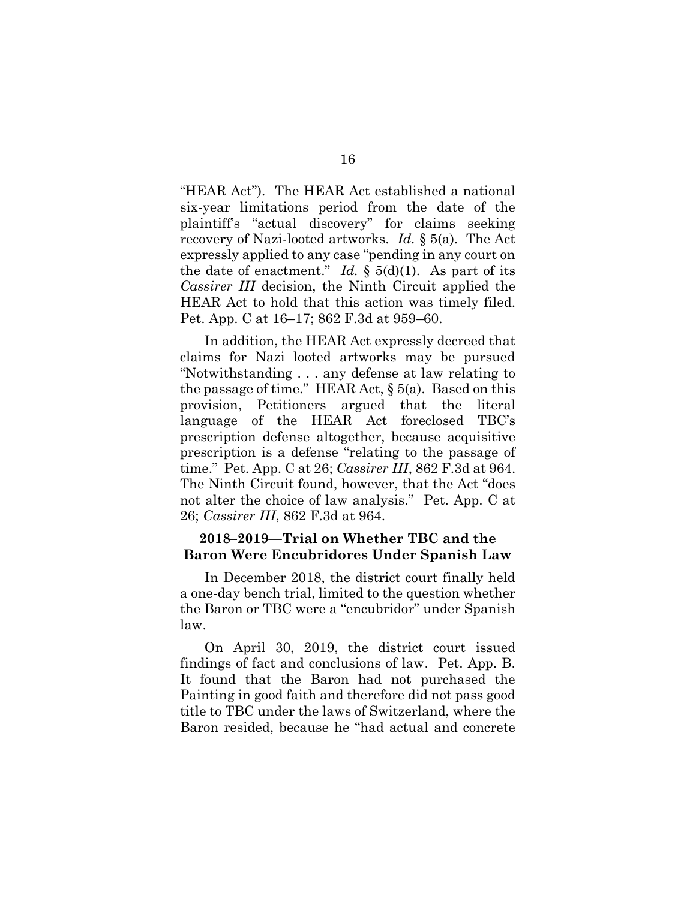"HEAR Act"). The HEAR Act established a national six-year limitations period from the date of the plaintiff's "actual discovery" for claims seeking recovery of Nazi-looted artworks. *Id.* § 5(a). The Act expressly applied to any case "pending in any court on the date of enactment." *Id.*  $\S$  5(d)(1). As part of its *Cassirer III* decision, the Ninth Circuit applied the HEAR Act to hold that this action was timely filed. Pet. App. C at 16–17; 862 F.3d at 959–60.

In addition, the HEAR Act expressly decreed that claims for Nazi looted artworks may be pursued "Notwithstanding . . . any defense at law relating to the passage of time." HEAR Act,  $\S$  5(a). Based on this provision, Petitioners argued that the literal language of the HEAR Act foreclosed TBC's prescription defense altogether, because acquisitive prescription is a defense "relating to the passage of time." Pet. App. C at 26; *Cassirer III*, 862 F.3d at 964. The Ninth Circuit found, however, that the Act "does not alter the choice of law analysis." Pet. App. C at 26; *Cassirer III*, 862 F.3d at 964.

## **2018–2019—Trial on Whether TBC and the Baron Were Encubridores Under Spanish Law**

In December 2018, the district court finally held a one-day bench trial, limited to the question whether the Baron or TBC were a "encubridor" under Spanish law.

On April 30, 2019, the district court issued findings of fact and conclusions of law. Pet. App. B. It found that the Baron had not purchased the Painting in good faith and therefore did not pass good title to TBC under the laws of Switzerland, where the Baron resided, because he "had actual and concrete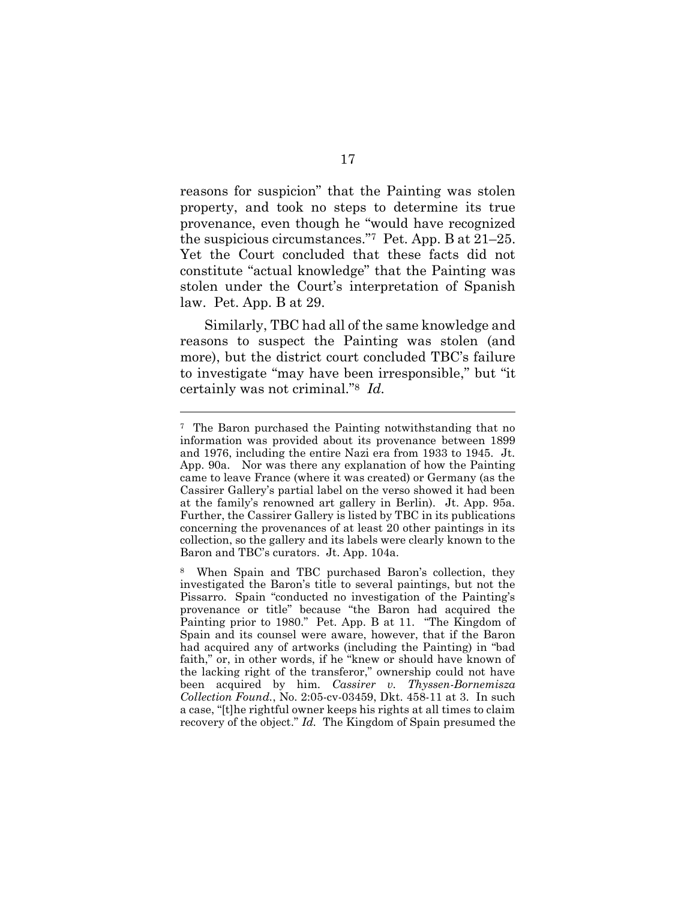reasons for suspicion" that the Painting was stolen property, and took no steps to determine its true provenance, even though he "would have recognized the suspicious circumstances."<sup>7</sup> Pet. App. B at 21–25. Yet the Court concluded that these facts did not constitute "actual knowledge" that the Painting was stolen under the Court's interpretation of Spanish law. Pet. App. B at 29.

Similarly, TBC had all of the same knowledge and reasons to suspect the Painting was stolen (and more), but the district court concluded TBC's failure to investigate "may have been irresponsible," but "it certainly was not criminal."<sup>8</sup> *Id.*

<sup>7</sup> The Baron purchased the Painting notwithstanding that no information was provided about its provenance between 1899 and 1976, including the entire Nazi era from 1933 to 1945. Jt. App. 90a. Nor was there any explanation of how the Painting came to leave France (where it was created) or Germany (as the Cassirer Gallery's partial label on the verso showed it had been at the family's renowned art gallery in Berlin). Jt. App. 95a. Further, the Cassirer Gallery is listed by TBC in its publications concerning the provenances of at least 20 other paintings in its collection, so the gallery and its labels were clearly known to the Baron and TBC's curators. Jt. App. 104a.

<sup>8</sup> When Spain and TBC purchased Baron's collection, they investigated the Baron's title to several paintings, but not the Pissarro. Spain "conducted no investigation of the Painting's provenance or title" because "the Baron had acquired the Painting prior to 1980." Pet. App. B at 11. "The Kingdom of Spain and its counsel were aware, however, that if the Baron had acquired any of artworks (including the Painting) in "bad faith," or, in other words, if he "knew or should have known of the lacking right of the transferor," ownership could not have been acquired by him. *Cassirer v. Thyssen-Bornemisza Collection Found.*, No. 2:05-cv-03459, Dkt. 458-11 at 3. In such a case, "[t]he rightful owner keeps his rights at all times to claim recovery of the object." *Id.* The Kingdom of Spain presumed the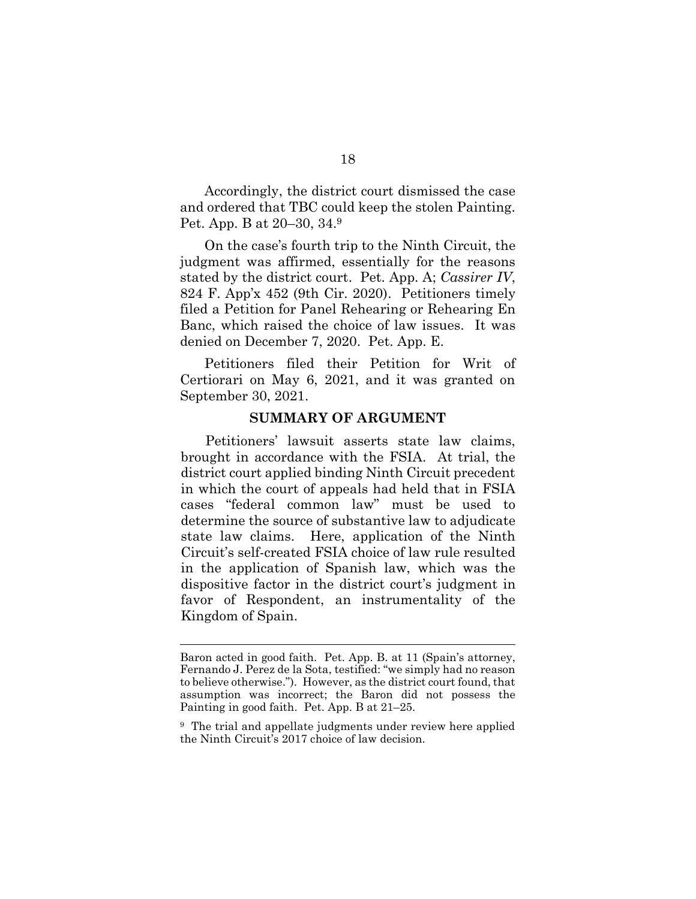Accordingly, the district court dismissed the case and ordered that TBC could keep the stolen Painting. Pet. App. B at 20–30, 34.9

On the case's fourth trip to the Ninth Circuit, the judgment was affirmed, essentially for the reasons stated by the district court. Pet. App. A; *Cassirer IV*, 824 F. App'x 452 (9th Cir. 2020). Petitioners timely filed a Petition for Panel Rehearing or Rehearing En Banc, which raised the choice of law issues. It was denied on December 7, 2020. Pet. App. E.

Petitioners filed their Petition for Writ of Certiorari on May 6, 2021, and it was granted on September 30, 2021.

#### **SUMMARY OF ARGUMENT**

Petitioners' lawsuit asserts state law claims, brought in accordance with the FSIA. At trial, the district court applied binding Ninth Circuit precedent in which the court of appeals had held that in FSIA cases "federal common law" must be used to determine the source of substantive law to adjudicate state law claims. Here, application of the Ninth Circuit's self-created FSIA choice of law rule resulted in the application of Spanish law, which was the dispositive factor in the district court's judgment in favor of Respondent, an instrumentality of the Kingdom of Spain.

Baron acted in good faith. Pet. App. B. at 11 (Spain's attorney, Fernando J. Perez de la Sota, testified: "we simply had no reason to believe otherwise."). However, as the district court found, that assumption was incorrect; the Baron did not possess the Painting in good faith. Pet. App. B at 21–25.

<sup>&</sup>lt;sup>9</sup> The trial and appellate judgments under review here applied the Ninth Circuit's 2017 choice of law decision.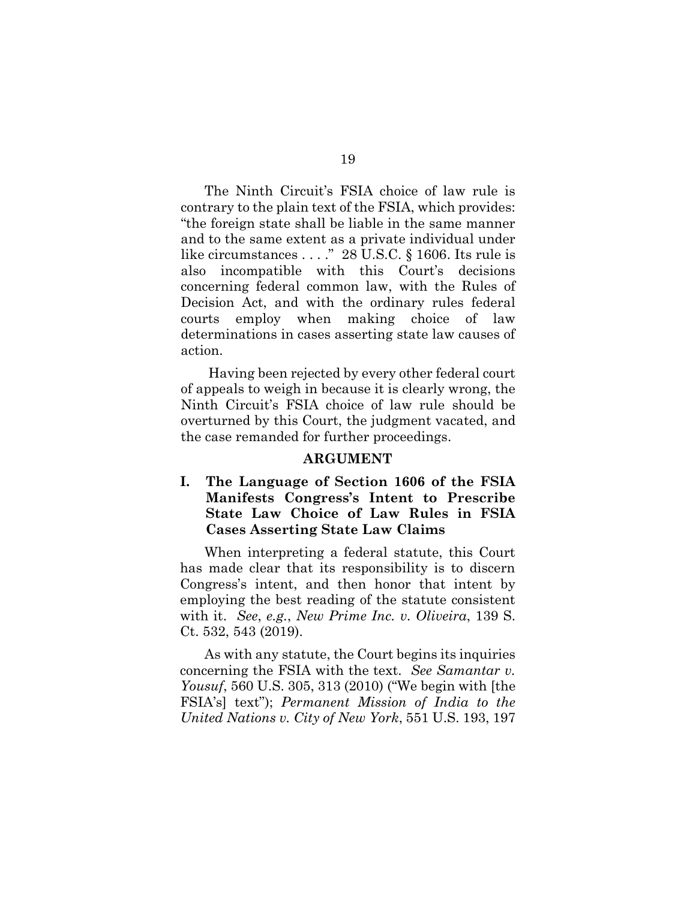The Ninth Circuit's FSIA choice of law rule is contrary to the plain text of the FSIA, which provides: "the foreign state shall be liable in the same manner and to the same extent as a private individual under like circumstances . . . ." 28 U.S.C. § 1606. Its rule is also incompatible with this Court's decisions concerning federal common law, with the Rules of Decision Act, and with the ordinary rules federal courts employ when making choice of law determinations in cases asserting state law causes of action.

Having been rejected by every other federal court of appeals to weigh in because it is clearly wrong, the Ninth Circuit's FSIA choice of law rule should be overturned by this Court, the judgment vacated, and the case remanded for further proceedings.

#### **ARGUMENT**

# **I. The Language of Section 1606 of the FSIA Manifests Congress's Intent to Prescribe State Law Choice of Law Rules in FSIA Cases Asserting State Law Claims**

When interpreting a federal statute, this Court has made clear that its responsibility is to discern Congress's intent, and then honor that intent by employing the best reading of the statute consistent with it. *See*, *e.g.*, *New Prime Inc. v. Oliveira*, 139 S. Ct. 532, 543 (2019).

As with any statute, the Court begins its inquiries concerning the FSIA with the text. *See Samantar v. Yousuf*, 560 U.S. 305, 313 (2010) ("We begin with [the FSIA's] text"); *Permanent Mission of India to the United Nations v. City of New York*, 551 U.S. 193, 197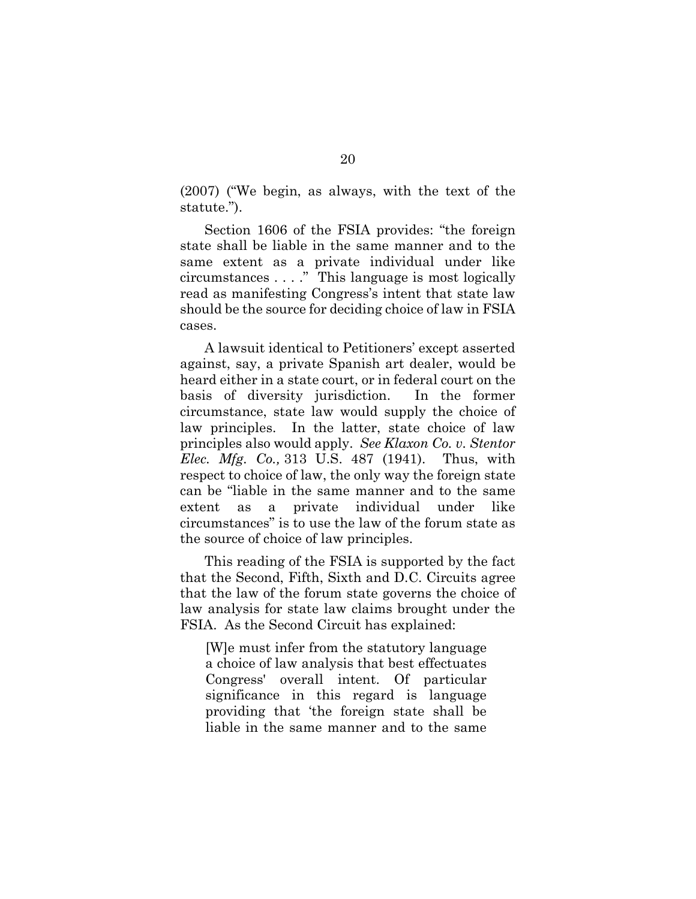(2007) ("We begin, as always, with the text of the statute.").

Section 1606 of the FSIA provides: "the foreign state shall be liable in the same manner and to the same extent as a private individual under like circumstances . . . ." This language is most logically read as manifesting Congress's intent that state law should be the source for deciding choice of law in FSIA cases.

A lawsuit identical to Petitioners' except asserted against, say, a private Spanish art dealer, would be heard either in a state court, or in federal court on the basis of diversity jurisdiction. In the former circumstance, state law would supply the choice of law principles. In the latter, state choice of law principles also would apply. *See Klaxon Co. v. Stentor Elec. Mfg. Co.,* 313 U.S. 487 (1941). Thus, with respect to choice of law, the only way the foreign state can be "liable in the same manner and to the same extent as a private individual under like circumstances" is to use the law of the forum state as the source of choice of law principles.

This reading of the FSIA is supported by the fact that the Second, Fifth, Sixth and D.C. Circuits agree that the law of the forum state governs the choice of law analysis for state law claims brought under the FSIA. As the Second Circuit has explained:

[W]e must infer from the statutory language a choice of law analysis that best effectuates Congress' overall intent. Of particular significance in this regard is language providing that 'the foreign state shall be liable in the same manner and to the same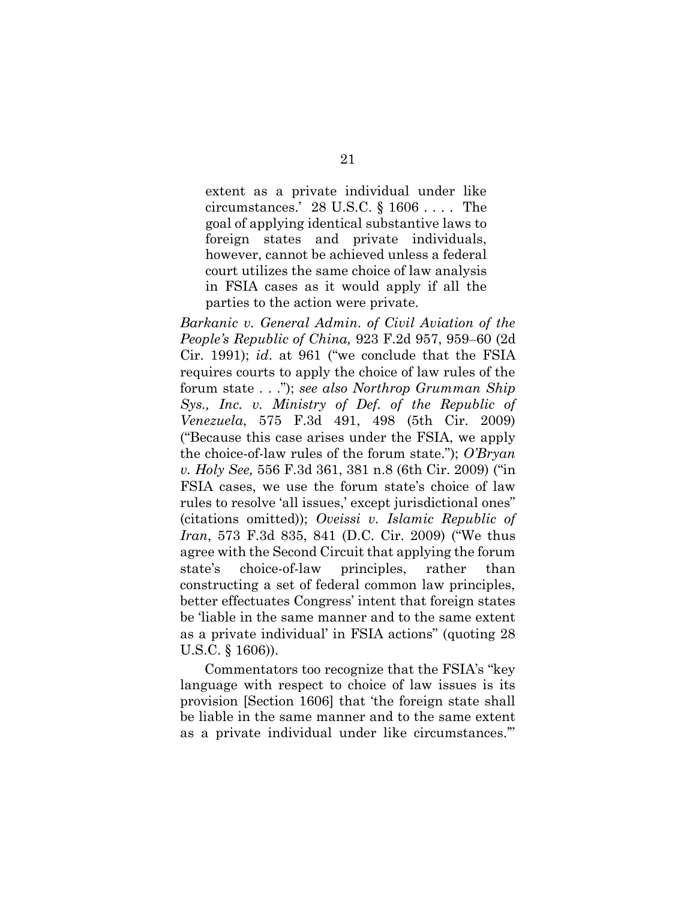extent as a private individual under like circumstances.' 28 U.S.C. § 1606 . . . . The goal of applying identical substantive laws to foreign states and private individuals, however, cannot be achieved unless a federal court utilizes the same choice of law analysis in FSIA cases as it would apply if all the parties to the action were private.

*Barkanic v. General Admin. of Civil Aviation of the People's Republic of China,* 923 F.2d 957, 959–60 (2d Cir. 1991); *id*. at 961 ("we conclude that the FSIA requires courts to apply the choice of law rules of the forum state . . ."); *see also Northrop Grumman Ship Sys., Inc. v. Ministry of Def. of the Republic of Venezuela*, 575 F.3d 491, 498 (5th Cir. 2009) ("Because this case arises under the FSIA, we apply the choice-of-law rules of the forum state."); *O'Bryan v. Holy See,* 556 F.3d 361, 381 n.8 (6th Cir. 2009) ("in FSIA cases, we use the forum state's choice of law rules to resolve 'all issues,' except jurisdictional ones" (citations omitted)); *Oveissi v. Islamic Republic of Iran*, 573 F.3d 835, 841 (D.C. Cir. 2009) ("We thus agree with the Second Circuit that applying the forum state's choice-of-law principles, rather than constructing a set of federal common law principles, better effectuates Congress' intent that foreign states be 'liable in the same manner and to the same extent as a private individual' in FSIA actions" (quoting 28 U.S.C. § 1606)).

Commentators too recognize that the FSIA's "key language with respect to choice of law issues is its provision [Section 1606] that 'the foreign state shall be liable in the same manner and to the same extent as a private individual under like circumstances.'"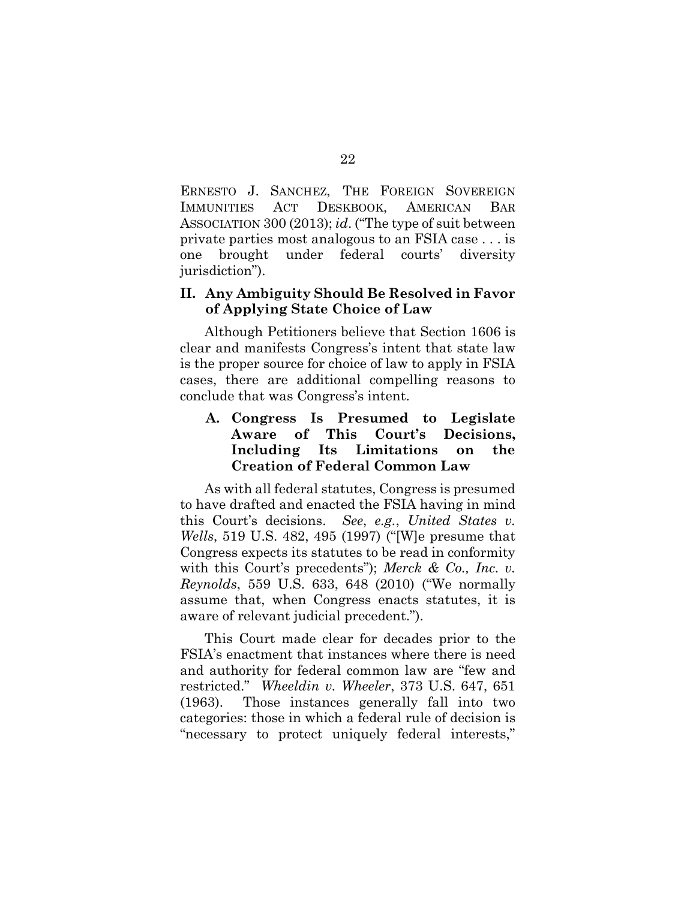ERNESTO J. SANCHEZ, THE FOREIGN SOVEREIGN IMMUNITIES ACT DESKBOOK, AMERICAN BAR ASSOCIATION 300 (2013); *id*. ("The type of suit between private parties most analogous to an FSIA case . . . is one brought under federal courts' diversity jurisdiction").

## **II. Any Ambiguity Should Be Resolved in Favor of Applying State Choice of Law**

Although Petitioners believe that Section 1606 is clear and manifests Congress's intent that state law is the proper source for choice of law to apply in FSIA cases, there are additional compelling reasons to conclude that was Congress's intent.

## **A. Congress Is Presumed to Legislate Aware of This Court's Decisions, Including Its Limitations on the Creation of Federal Common Law**

As with all federal statutes, Congress is presumed to have drafted and enacted the FSIA having in mind this Court's decisions. *See*, *e.g.*, *United States v. Wells*, 519 U.S. 482, 495 (1997) ("[W]e presume that Congress expects its statutes to be read in conformity with this Court's precedents"); *Merck & Co., Inc. v. Reynolds*, 559 U.S. 633, 648 (2010) ("We normally assume that, when Congress enacts statutes, it is aware of relevant judicial precedent.").

This Court made clear for decades prior to the FSIA's enactment that instances where there is need and authority for federal common law are "few and restricted." *Wheeldin v. Wheeler*, 373 U.S. 647, 651 (1963). Those instances generally fall into two categories: those in which a federal rule of decision is "necessary to protect uniquely federal interests,"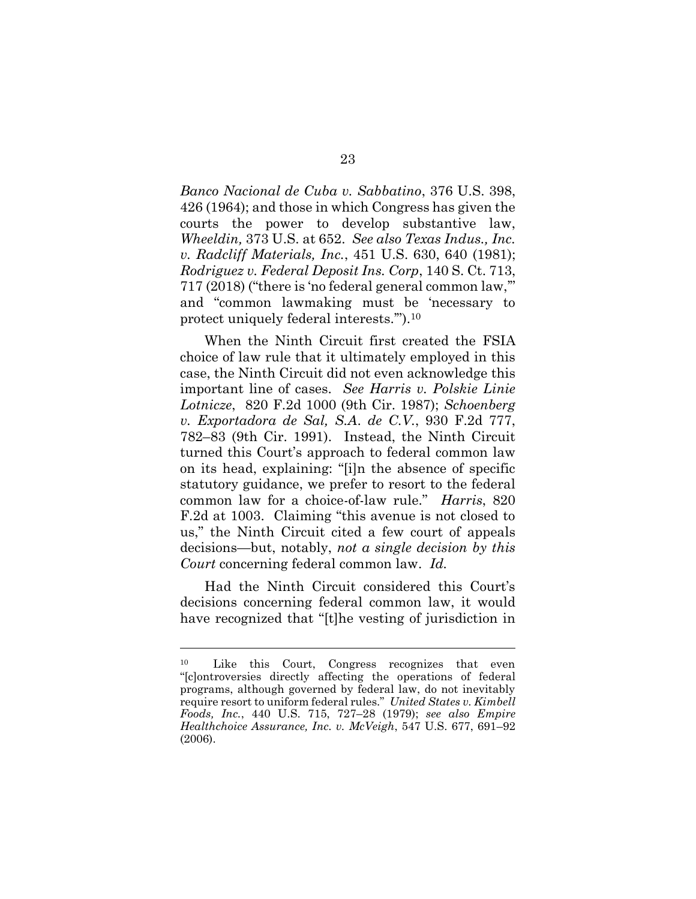*Banco Nacional de Cuba v. Sabbatino*, 376 U.S. 398, 426 (1964); and those in which Congress has given the courts the power to develop substantive law, *Wheeldin,* 373 U.S. at 652. *See also Texas Indus., Inc. v. Radcliff Materials, Inc.*, 451 U.S. 630, 640 (1981); *Rodriguez v. Federal Deposit Ins. Corp*, 140 S. Ct. 713, 717 (2018) ("there is 'no federal general common law,'" and "common lawmaking must be 'necessary to protect uniquely federal interests.'").<sup>10</sup>

When the Ninth Circuit first created the FSIA choice of law rule that it ultimately employed in this case, the Ninth Circuit did not even acknowledge this important line of cases. *See Harris v. Polskie Linie Lotnicze*, 820 F.2d 1000 (9th Cir. 1987); *Schoenberg v. Exportadora de Sal, S.A*. *de C.V.*, 930 F.2d 777, 782–83 (9th Cir. 1991). Instead, the Ninth Circuit turned this Court's approach to federal common law on its head, explaining: "[i]n the absence of specific statutory guidance, we prefer to resort to the federal common law for a choice-of-law rule." *Harris*, 820 F.2d at 1003. Claiming "this avenue is not closed to us," the Ninth Circuit cited a few court of appeals decisions—but, notably, *not a single decision by this Court* concerning federal common law. *Id.*

Had the Ninth Circuit considered this Court's decisions concerning federal common law, it would have recognized that "[t]he vesting of jurisdiction in

<sup>10</sup> Like this Court, Congress recognizes that even "[c]ontroversies directly affecting the operations of federal programs, although governed by federal law, do not inevitably require resort to uniform federal rules." *United States v. Kimbell Foods, Inc.*, 440 U.S. 715, 727–28 (1979); *see also Empire Healthchoice Assurance, Inc. v. McVeigh*, 547 U.S. 677, 691–92 (2006).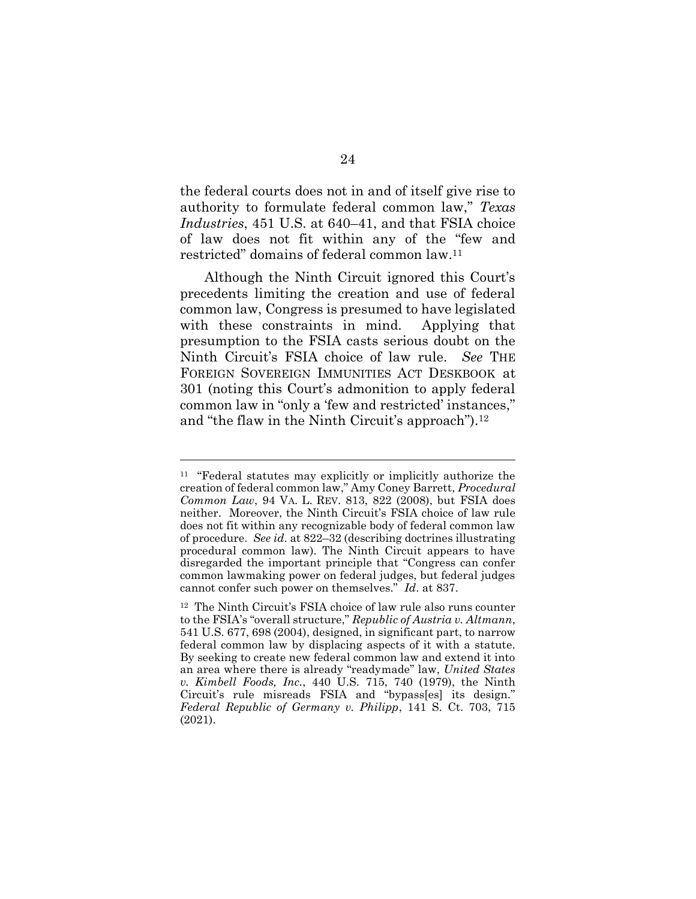the federal courts does not in and of itself give rise to authority to formulate federal common law," *Texas Industries*, 451 U.S. at 640–41, and that FSIA choice of law does not fit within any of the "few and restricted" domains of federal common law.<sup>11</sup>

Although the Ninth Circuit ignored this Court's precedents limiting the creation and use of federal common law, Congress is presumed to have legislated with these constraints in mind. Applying that presumption to the FSIA casts serious doubt on the Ninth Circuit's FSIA choice of law rule. *See* THE FOREIGN SOVEREIGN IMMUNITIES ACT DESKBOOK at 301 (noting this Court's admonition to apply federal common law in "only a 'few and restricted' instances," and "the flaw in the Ninth Circuit's approach").<sup>12</sup>

<sup>11</sup> "Federal statutes may explicitly or implicitly authorize the creation of federal common law," Amy Coney Barrett, *Procedural Common Law*, 94 VA. L. REV. 813, 822 (2008), but FSIA does neither. Moreover, the Ninth Circuit's FSIA choice of law rule does not fit within any recognizable body of federal common law of procedure. *See id*. at 822–32 (describing doctrines illustrating procedural common law). The Ninth Circuit appears to have disregarded the important principle that "Congress can confer common lawmaking power on federal judges, but federal judges cannot confer such power on themselves." *Id*. at 837.

<sup>12</sup> The Ninth Circuit's FSIA choice of law rule also runs counter to the FSIA's "overall structure," *Republic of Austria v. Altmann*, 541 U.S. 677, 698 (2004), designed, in significant part, to narrow federal common law by displacing aspects of it with a statute. By seeking to create new federal common law and extend it into an area where there is already "readymade" law, *United States v. Kimbell Foods, Inc.*, 440 U.S. 715, 740 (1979), the Ninth Circuit's rule misreads FSIA and "bypass[es] its design." *Federal Republic of Germany v. Philipp*, 141 S. Ct. 703, 715 (2021).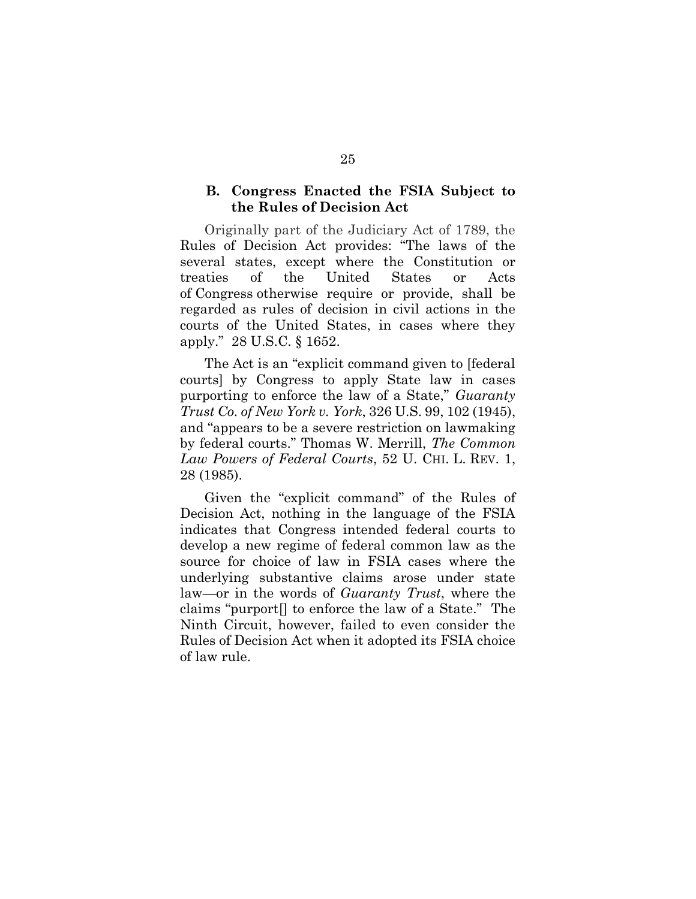### **B. Congress Enacted the FSIA Subject to the Rules of Decision Act**

Originally part of the Judiciary Act of 1789, the Rules of Decision Act provides: "The laws of the several states, except where the Constitution or treaties of the United States or Acts of Congress otherwise require or provide, shall be regarded as rules of decision in civil actions in the courts of the United States, in cases where they apply." 28 U.S.C. § 1652.

The Act is an "explicit command given to [federal courts] by Congress to apply State law in cases purporting to enforce the law of a State," *Guaranty Trust Co. of New York v. York*, 326 U.S. 99, 102 (1945), and "appears to be a severe restriction on lawmaking by federal courts." Thomas W. Merrill, *The Common Law Powers of Federal Courts*, 52 U. CHI. L. REV. 1, 28 (1985).

Given the "explicit command" of the Rules of Decision Act, nothing in the language of the FSIA indicates that Congress intended federal courts to develop a new regime of federal common law as the source for choice of law in FSIA cases where the underlying substantive claims arose under state law—or in the words of *Guaranty Trust*, where the claims "purport[] to enforce the law of a State." The Ninth Circuit, however, failed to even consider the Rules of Decision Act when it adopted its FSIA choice of law rule.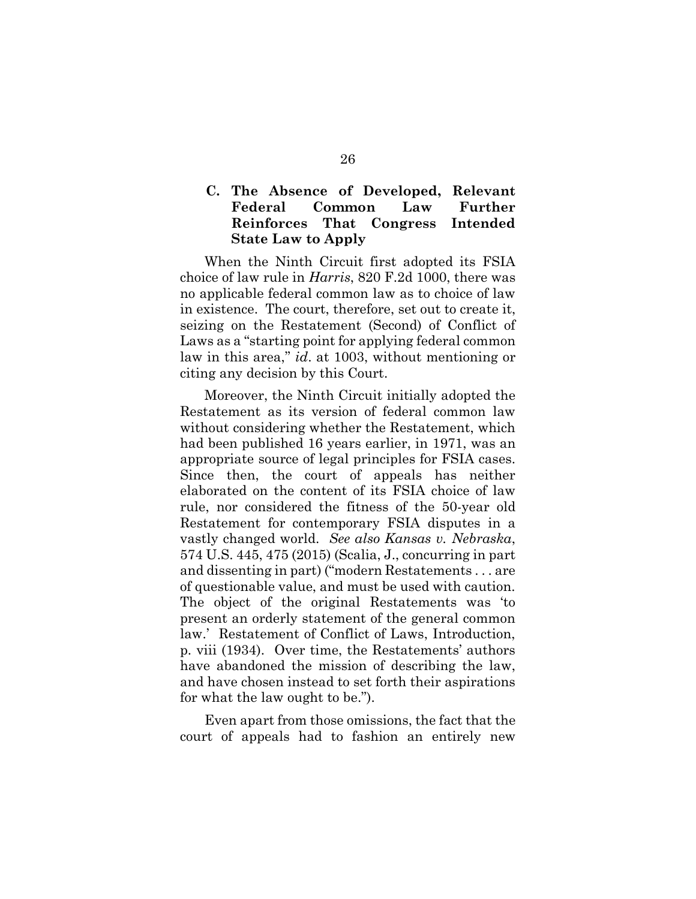## **C. The Absence of Developed, Relevant Federal Common Law Further Reinforces That Congress Intended State Law to Apply**

When the Ninth Circuit first adopted its FSIA choice of law rule in *Harris*, 820 F.2d 1000, there was no applicable federal common law as to choice of law in existence. The court, therefore, set out to create it, seizing on the Restatement (Second) of Conflict of Laws as a "starting point for applying federal common law in this area," *id*. at 1003, without mentioning or citing any decision by this Court.

Moreover, the Ninth Circuit initially adopted the Restatement as its version of federal common law without considering whether the Restatement, which had been published 16 years earlier, in 1971, was an appropriate source of legal principles for FSIA cases. Since then, the court of appeals has neither elaborated on the content of its FSIA choice of law rule, nor considered the fitness of the 50-year old Restatement for contemporary FSIA disputes in a vastly changed world. *See also Kansas v. Nebraska*, 574 U.S. 445, 475 (2015) (Scalia, J., concurring in part and dissenting in part) ("modern Restatements . . . are of questionable value, and must be used with caution. The object of the original Restatements was 'to present an orderly statement of the general common law.' Restatement of Conflict of Laws, Introduction, p. viii (1934). Over time, the Restatements' authors have abandoned the mission of describing the law, and have chosen instead to set forth their aspirations for what the law ought to be.").

Even apart from those omissions, the fact that the court of appeals had to fashion an entirely new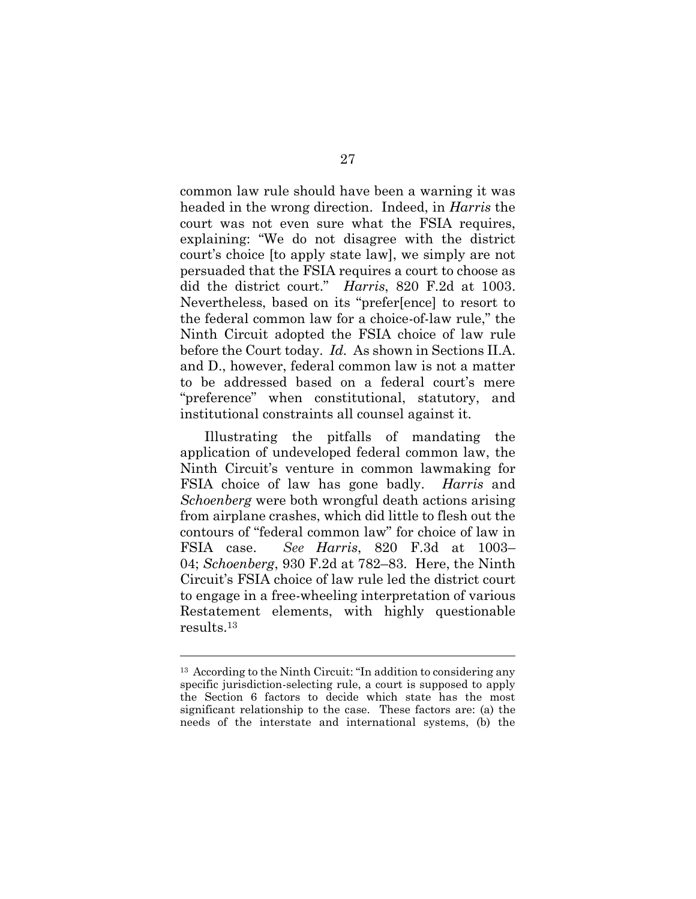common law rule should have been a warning it was headed in the wrong direction. Indeed, in *Harris* the court was not even sure what the FSIA requires, explaining: "We do not disagree with the district court's choice [to apply state law], we simply are not persuaded that the FSIA requires a court to choose as did the district court." *Harris*, 820 F.2d at 1003. Nevertheless, based on its "prefer[ence] to resort to the federal common law for a choice-of-law rule," the Ninth Circuit adopted the FSIA choice of law rule before the Court today. *Id.* As shown in Sections II.A. and D., however, federal common law is not a matter to be addressed based on a federal court's mere "preference" when constitutional, statutory, and institutional constraints all counsel against it.

Illustrating the pitfalls of mandating the application of undeveloped federal common law, the Ninth Circuit's venture in common lawmaking for FSIA choice of law has gone badly. *Harris* and *Schoenberg* were both wrongful death actions arising from airplane crashes, which did little to flesh out the contours of "federal common law" for choice of law in FSIA case. *See Harris*, 820 F.3d at 1003– 04; *Schoenberg*, 930 F.2d at 782–83. Here, the Ninth Circuit's FSIA choice of law rule led the district court to engage in a free-wheeling interpretation of various Restatement elements, with highly questionable results.<sup>13</sup>

<sup>13</sup> According to the Ninth Circuit: "In addition to considering any specific jurisdiction-selecting rule, a court is supposed to apply the Section 6 factors to decide which state has the most significant relationship to the case. These factors are: (a) the needs of the interstate and international systems, (b) the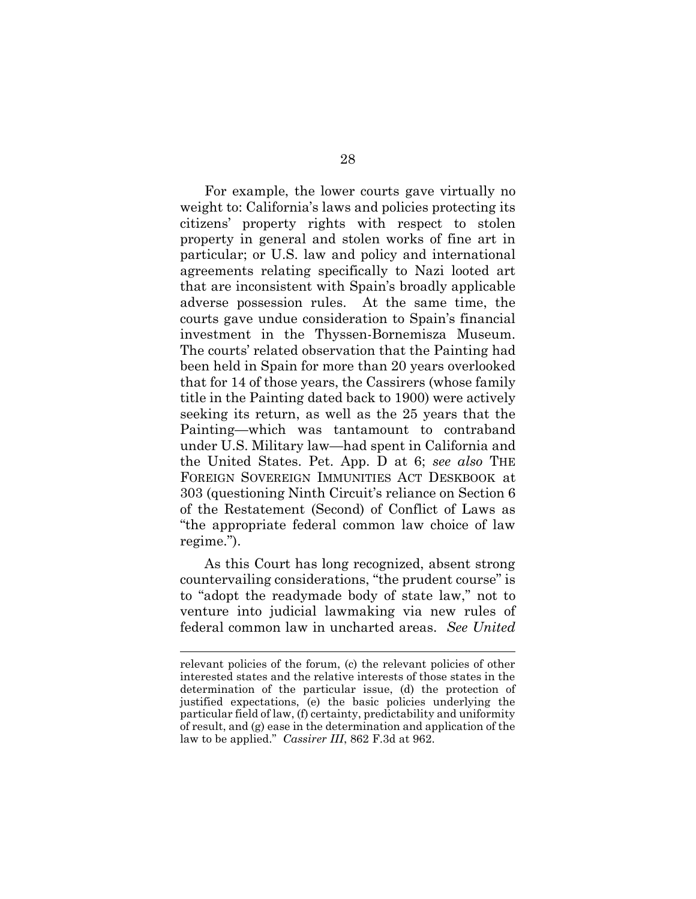For example, the lower courts gave virtually no weight to: California's laws and policies protecting its citizens' property rights with respect to stolen property in general and stolen works of fine art in particular; or U.S. law and policy and international agreements relating specifically to Nazi looted art that are inconsistent with Spain's broadly applicable adverse possession rules. At the same time, the courts gave undue consideration to Spain's financial investment in the Thyssen-Bornemisza Museum. The courts' related observation that the Painting had been held in Spain for more than 20 years overlooked that for 14 of those years, the Cassirers (whose family title in the Painting dated back to 1900) were actively seeking its return, as well as the 25 years that the Painting—which was tantamount to contraband under U.S. Military law—had spent in California and the United States. Pet. App. D at 6; *see also* THE FOREIGN SOVEREIGN IMMUNITIES ACT DESKBOOK at 303 (questioning Ninth Circuit's reliance on Section 6 of the Restatement (Second) of Conflict of Laws as "the appropriate federal common law choice of law regime.").

As this Court has long recognized, absent strong countervailing considerations, "the prudent course" is to "adopt the readymade body of state law," not to venture into judicial lawmaking via new rules of federal common law in uncharted areas. *See United* 

relevant policies of the forum, (c) the relevant policies of other interested states and the relative interests of those states in the determination of the particular issue, (d) the protection of justified expectations, (e) the basic policies underlying the particular field of law, (f) certainty, predictability and uniformity of result, and (g) ease in the determination and application of the law to be applied." *Cassirer III*, 862 F.3d at 962.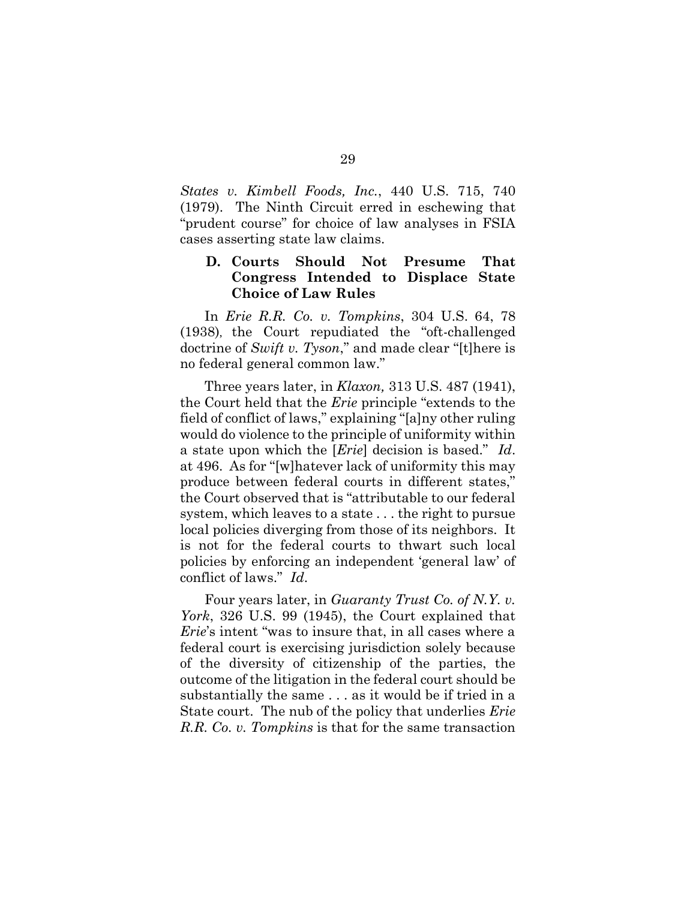*States v. Kimbell Foods, Inc.*, 440 U.S. 715, 740 (1979). The Ninth Circuit erred in eschewing that "prudent course" for choice of law analyses in FSIA cases asserting state law claims.

## **D. Courts Should Not Presume That Congress Intended to Displace State Choice of Law Rules**

In *Erie R.R. Co. v. Tompkins*, 304 U.S. 64, 78 (1938), the Court repudiated the "oft-challenged doctrine of *Swift v. Tyson*," and made clear "[t]here is no federal general common law."

Three years later, in *Klaxon,* 313 U.S. 487 (1941), the Court held that the *Erie* principle "extends to the field of conflict of laws," explaining "[a]ny other ruling would do violence to the principle of uniformity within a state upon which the [*Erie*] decision is based." *Id*. at 496. As for "[w]hatever lack of uniformity this may produce between federal courts in different states," the Court observed that is "attributable to our federal system, which leaves to a state . . . the right to pursue local policies diverging from those of its neighbors. It is not for the federal courts to thwart such local policies by enforcing an independent 'general law' of conflict of laws." *Id*.

Four years later, in *Guaranty Trust Co. of N.Y. v. York*, 326 U.S. 99 (1945), the Court explained that *Erie*'s intent "was to insure that, in all cases where a federal court is exercising jurisdiction solely because of the diversity of citizenship of the parties, the outcome of the litigation in the federal court should be substantially the same . . . as it would be if tried in a State court. The nub of the policy that underlies *Erie R.R. Co. v. Tompkins* is that for the same transaction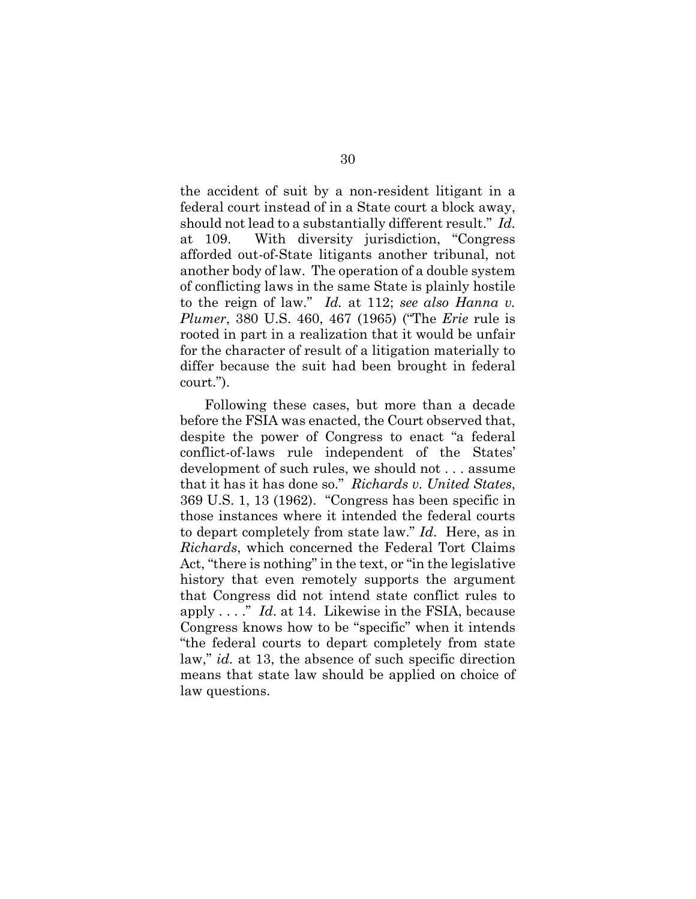the accident of suit by a non-resident litigant in a federal court instead of in a State court a block away, should not lead to a substantially different result." *Id.*  at 109. With diversity jurisdiction, "Congress afforded out-of-State litigants another tribunal, not another body of law. The operation of a double system of conflicting laws in the same State is plainly hostile to the reign of law." *Id.* at 112; *see also Hanna v. Plumer*, 380 U.S. 460, 467 (1965) ("The *Erie* rule is rooted in part in a realization that it would be unfair for the character of result of a litigation materially to differ because the suit had been brought in federal court.").

Following these cases, but more than a decade before the FSIA was enacted, the Court observed that, despite the power of Congress to enact "a federal conflict-of-laws rule independent of the States' development of such rules, we should not . . . assume that it has it has done so." *Richards v. United States*, 369 U.S. 1, 13 (1962). "Congress has been specific in those instances where it intended the federal courts to depart completely from state law." *Id*. Here, as in *Richards*, which concerned the Federal Tort Claims Act, "there is nothing" in the text, or "in the legislative history that even remotely supports the argument that Congress did not intend state conflict rules to apply . . . ." *Id*. at 14. Likewise in the FSIA, because Congress knows how to be "specific" when it intends "the federal courts to depart completely from state law," *id.* at 13, the absence of such specific direction means that state law should be applied on choice of law questions.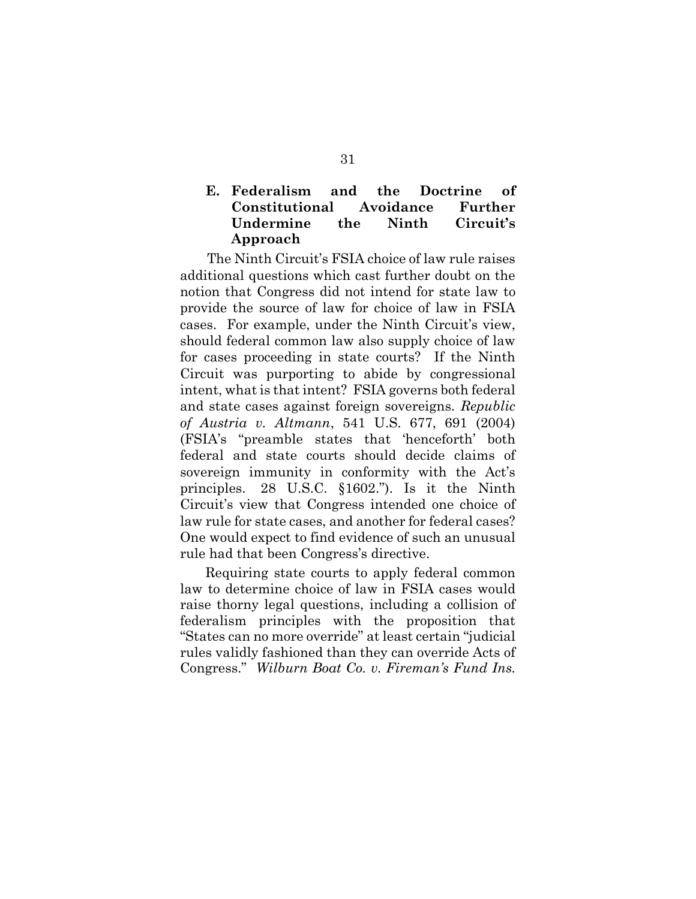## **E. Federalism and the Doctrine of Constitutional Avoidance Further Undermine the Ninth Circuit's Approach**

The Ninth Circuit's FSIA choice of law rule raises additional questions which cast further doubt on the notion that Congress did not intend for state law to provide the source of law for choice of law in FSIA cases. For example, under the Ninth Circuit's view, should federal common law also supply choice of law for cases proceeding in state courts? If the Ninth Circuit was purporting to abide by congressional intent, what is that intent? FSIA governs both federal and state cases against foreign sovereigns. *Republic of Austria v. Altmann*, 541 U.S. 677, 691 (2004) (FSIA's "preamble states that 'henceforth' both federal and state courts should decide claims of sovereign immunity in conformity with the Act's principles. 28 U.S.C. §1602."). Is it the Ninth Circuit's view that Congress intended one choice of law rule for state cases, and another for federal cases? One would expect to find evidence of such an unusual rule had that been Congress's directive.

Requiring state courts to apply federal common law to determine choice of law in FSIA cases would raise thorny legal questions, including a collision of federalism principles with the proposition that "States can no more override" at least certain "judicial rules validly fashioned than they can override Acts of Congress." *Wilburn Boat Co. v. Fireman's Fund Ins.*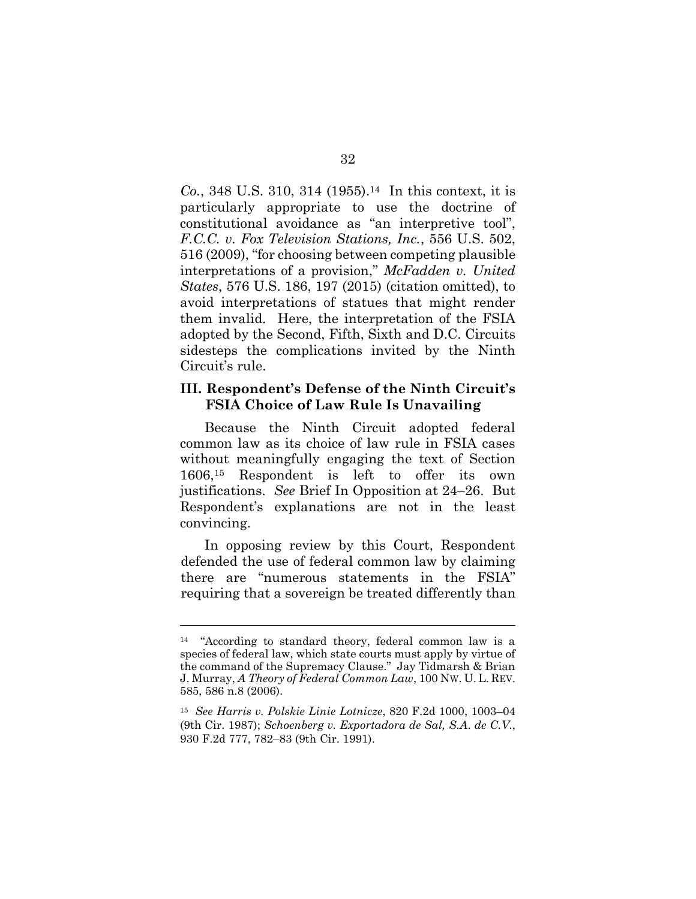*Co.*, 348 U.S. 310, 314 (1955). <sup>14</sup> In this context, it is particularly appropriate to use the doctrine of constitutional avoidance as "an interpretive tool", *F.C.C. v. Fox Television Stations, Inc.*, 556 U.S. 502, 516 (2009), "for choosing between competing plausible interpretations of a provision," *McFadden v. United States*, 576 U.S. 186, 197 (2015) (citation omitted), to avoid interpretations of statues that might render them invalid. Here, the interpretation of the FSIA adopted by the Second, Fifth, Sixth and D.C. Circuits sidesteps the complications invited by the Ninth Circuit's rule.

### **III. Respondent's Defense of the Ninth Circuit's FSIA Choice of Law Rule Is Unavailing**

Because the Ninth Circuit adopted federal common law as its choice of law rule in FSIA cases without meaningfully engaging the text of Section 1606, <sup>15</sup> Respondent is left to offer its own justifications. *See* Brief In Opposition at 24–26. But Respondent's explanations are not in the least convincing.

In opposing review by this Court, Respondent defended the use of federal common law by claiming there are "numerous statements in the FSIA" requiring that a sovereign be treated differently than

<sup>14</sup> "According to standard theory, federal common law is a species of federal law, which state courts must apply by virtue of the command of the Supremacy Clause." Jay Tidmarsh & Brian J. Murray, *A Theory of Federal Common Law*, 100 NW. U. L. REV. 585, 586 n.8 (2006).

<sup>15</sup> *See Harris v. Polskie Linie Lotnicze*, 820 F.2d 1000, 1003–04 (9th Cir. 1987); *Schoenberg v. Exportadora de Sal, S.A*. *de C.V.*, 930 F.2d 777, 782–83 (9th Cir. 1991).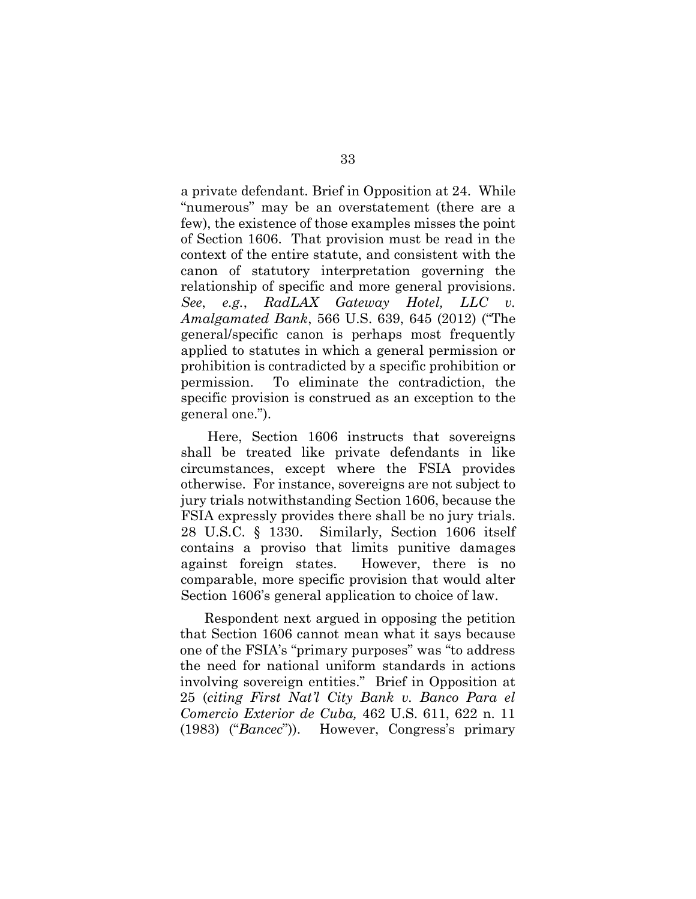a private defendant. Brief in Opposition at 24. While "numerous" may be an overstatement (there are a few), the existence of those examples misses the point of Section 1606. That provision must be read in the context of the entire statute, and consistent with the canon of statutory interpretation governing the relationship of specific and more general provisions. *See*, *e.g.*, *RadLAX Gateway Hotel, LLC v. Amalgamated Bank*, 566 U.S. 639, 645 (2012) ("The general/specific canon is perhaps most frequently applied to statutes in which a general permission or prohibition is contradicted by a specific prohibition or permission. To eliminate the contradiction, the specific provision is construed as an exception to the general one.").

 Here, Section 1606 instructs that sovereigns shall be treated like private defendants in like circumstances, except where the FSIA provides otherwise. For instance, sovereigns are not subject to jury trials notwithstanding Section 1606, because the FSIA expressly provides there shall be no jury trials. 28 U.S.C. § 1330. Similarly, Section 1606 itself contains a proviso that limits punitive damages against foreign states. However, there is no comparable, more specific provision that would alter Section 1606's general application to choice of law.

Respondent next argued in opposing the petition that Section 1606 cannot mean what it says because one of the FSIA's "primary purposes" was "to address the need for national uniform standards in actions involving sovereign entities." Brief in Opposition at 25 (*citing First Nat'l City Bank v. Banco Para el Comercio Exterior de Cuba,* 462 U.S. 611, 622 n. 11 (1983) ("*Bancec*")). However, Congress's primary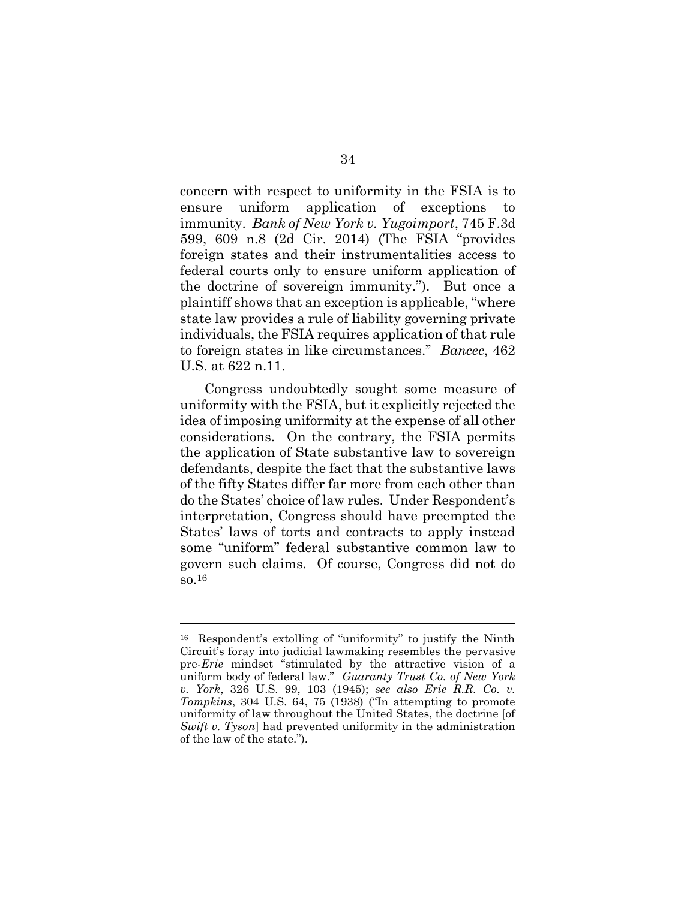concern with respect to uniformity in the FSIA is to ensure uniform application of exceptions to immunity. *Bank of New York v. Yugoimport*, 745 F.3d 599, 609 n.8 (2d Cir. 2014) (The FSIA "provides foreign states and their instrumentalities access to federal courts only to ensure uniform application of the doctrine of sovereign immunity."). But once a plaintiff shows that an exception is applicable, "where state law provides a rule of liability governing private individuals, the FSIA requires application of that rule to foreign states in like circumstances." *Bancec*, 462 U.S. at 622 n.11.

Congress undoubtedly sought some measure of uniformity with the FSIA, but it explicitly rejected the idea of imposing uniformity at the expense of all other considerations. On the contrary, the FSIA permits the application of State substantive law to sovereign defendants, despite the fact that the substantive laws of the fifty States differ far more from each other than do the States' choice of law rules. Under Respondent's interpretation, Congress should have preempted the States' laws of torts and contracts to apply instead some "uniform" federal substantive common law to govern such claims. Of course, Congress did not do so.<sup>16</sup>

<sup>16</sup> Respondent's extolling of "uniformity" to justify the Ninth Circuit's foray into judicial lawmaking resembles the pervasive pre-*Erie* mindset "stimulated by the attractive vision of a uniform body of federal law." *Guaranty Trust Co. of New York v. York*, 326 U.S. 99, 103 (1945); *see also Erie R.R. Co. v. Tompkins*, 304 U.S. 64, 75 (1938) ("In attempting to promote uniformity of law throughout the United States, the doctrine [of *Swift v. Tyson*] had prevented uniformity in the administration of the law of the state.").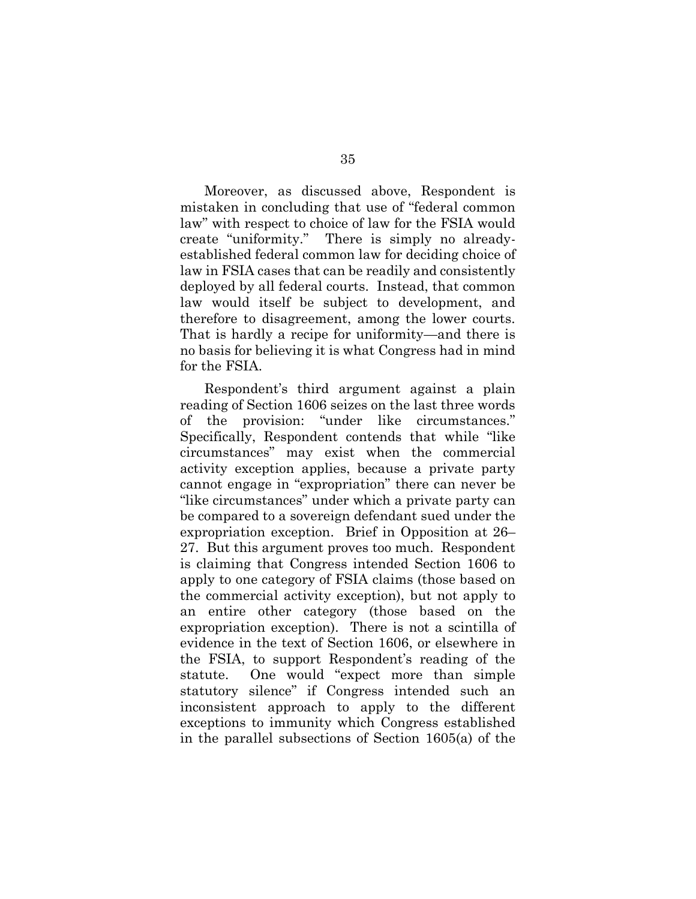Moreover, as discussed above, Respondent is mistaken in concluding that use of "federal common law" with respect to choice of law for the FSIA would create "uniformity." There is simply no alreadyestablished federal common law for deciding choice of law in FSIA cases that can be readily and consistently deployed by all federal courts. Instead, that common law would itself be subject to development, and therefore to disagreement, among the lower courts. That is hardly a recipe for uniformity—and there is no basis for believing it is what Congress had in mind for the FSIA.

Respondent's third argument against a plain reading of Section 1606 seizes on the last three words of the provision: "under like circumstances." Specifically, Respondent contends that while "like circumstances" may exist when the commercial activity exception applies, because a private party cannot engage in "expropriation" there can never be "like circumstances" under which a private party can be compared to a sovereign defendant sued under the expropriation exception. Brief in Opposition at 26– 27. But this argument proves too much. Respondent is claiming that Congress intended Section 1606 to apply to one category of FSIA claims (those based on the commercial activity exception), but not apply to an entire other category (those based on the expropriation exception). There is not a scintilla of evidence in the text of Section 1606, or elsewhere in the FSIA, to support Respondent's reading of the statute. One would "expect more than simple statutory silence" if Congress intended such an inconsistent approach to apply to the different exceptions to immunity which Congress established in the parallel subsections of Section 1605(a) of the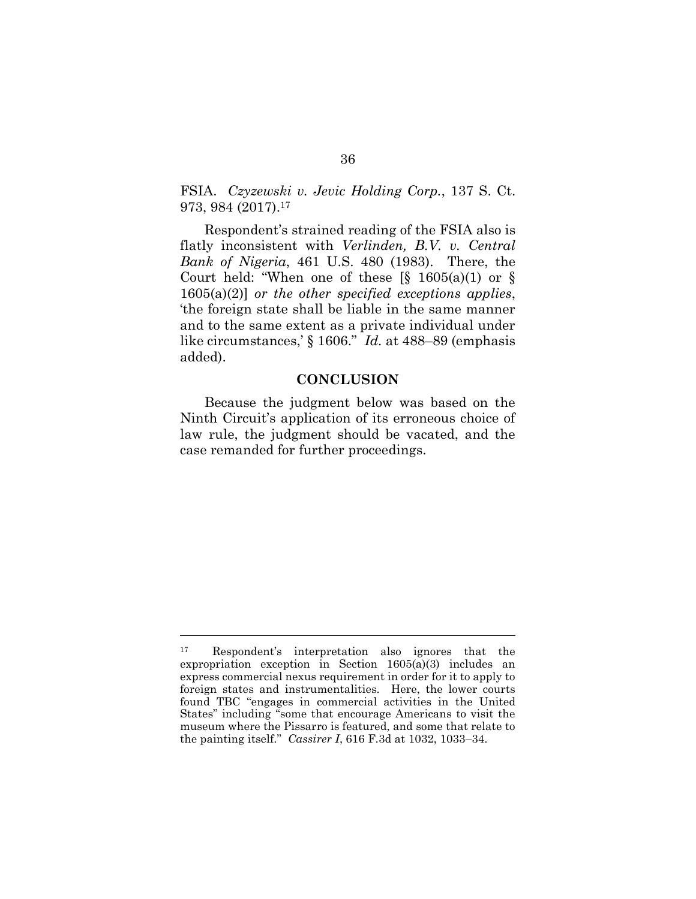FSIA. *Czyzewski v. Jevic Holding Corp.*, 137 S. Ct. 973, 984 (2017). 17

Respondent's strained reading of the FSIA also is flatly inconsistent with *Verlinden, B.V. v. Central Bank of Nigeria*, 461 U.S. 480 (1983). There, the Court held: "When one of these  $\S$  1605(a)(1) or  $\S$ 1605(a)(2)] *or the other specified exceptions applies*, 'the foreign state shall be liable in the same manner and to the same extent as a private individual under like circumstances,' § 1606." *Id.* at 488–89 (emphasis added).

#### **CONCLUSION**

Because the judgment below was based on the Ninth Circuit's application of its erroneous choice of law rule, the judgment should be vacated, and the case remanded for further proceedings.

<sup>17</sup> Respondent's interpretation also ignores that the expropriation exception in Section 1605(a)(3) includes an express commercial nexus requirement in order for it to apply to foreign states and instrumentalities. Here, the lower courts found TBC "engages in commercial activities in the United States" including "some that encourage Americans to visit the museum where the Pissarro is featured, and some that relate to the painting itself." *Cassirer I*, 616 F.3d at 1032, 1033–34.